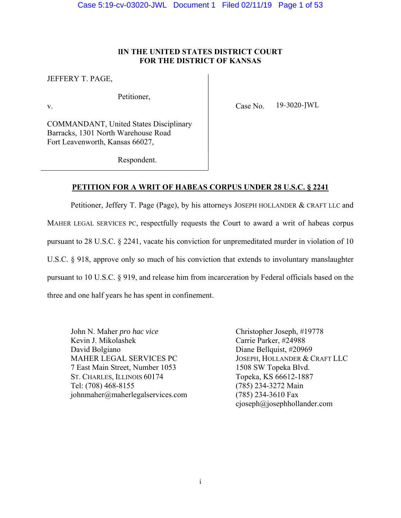# **lIN THE UNITED STATES DISTRICT COURT FOR THE DISTRICT OF KANSAS**

JEFFERY T. PAGE,

Petitioner,

v. Case No. 19-3020-JWL

COMMANDANT, United States Disciplinary Barracks, 1301 North Warehouse Road Fort Leavenworth, Kansas 66027,

Respondent.

# **PETITION FOR A WRIT OF HABEAS CORPUS UNDER 28 U.S.C. § 2241**

Petitioner, Jeffery T. Page (Page), by his attorneys JOSEPH HOLLANDER & CRAFT LLC and MAHER LEGAL SERVICES PC, respectfully requests the Court to award a writ of habeas corpus pursuant to 28 U.S.C. § 2241, vacate his conviction for unpremeditated murder in violation of 10 U.S.C. § 918, approve only so much of his conviction that extends to involuntary manslaughter pursuant to 10 U.S.C. § 919, and release him from incarceration by Federal officials based on the three and one half years he has spent in confinement.

John N. Maher *pro hac vice* Christopher Joseph, #19778 Kevin J. Mikolashek Carrie Parker, #24988 David Bolgiano Diane Bellquist, #20969 MAHER LEGAL SERVICES PC JOSEPH, HOLLANDER & CRAFT LLC 7 East Main Street, Number 1053 1508 SW Topeka Blvd. ST. CHARLES, ILLINOIS 60174 Topeka, KS 66612-1887 Tel: (708) 468-8155 (785) 234-3272 Main johnmaher@maherlegalservices.com (785) 234-3610 Fax

cjoseph@josephhollander.com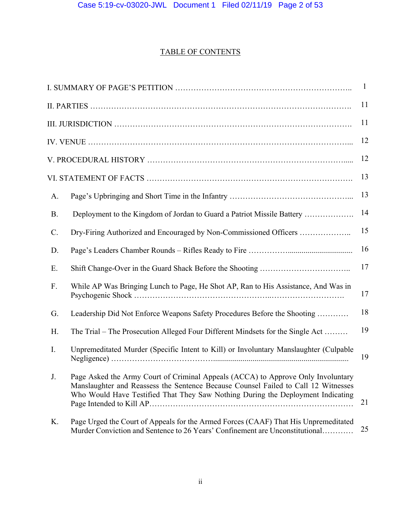# TABLE OF CONTENTS

| $\mathbf{1}$    |                                                                                                                                                                                                                                                           |    |  |  |
|-----------------|-----------------------------------------------------------------------------------------------------------------------------------------------------------------------------------------------------------------------------------------------------------|----|--|--|
|                 |                                                                                                                                                                                                                                                           |    |  |  |
| 11              |                                                                                                                                                                                                                                                           |    |  |  |
|                 |                                                                                                                                                                                                                                                           |    |  |  |
|                 |                                                                                                                                                                                                                                                           |    |  |  |
|                 |                                                                                                                                                                                                                                                           |    |  |  |
| A.              |                                                                                                                                                                                                                                                           | 13 |  |  |
| <b>B.</b>       | Deployment to the Kingdom of Jordan to Guard a Patriot Missile Battery                                                                                                                                                                                    | 14 |  |  |
| $\mathcal{C}$ . | Dry-Firing Authorized and Encouraged by Non-Commissioned Officers                                                                                                                                                                                         | 15 |  |  |
| D.              |                                                                                                                                                                                                                                                           | 16 |  |  |
| Ε.              |                                                                                                                                                                                                                                                           | 17 |  |  |
| F.              | While AP Was Bringing Lunch to Page, He Shot AP, Ran to His Assistance, And Was in                                                                                                                                                                        | 17 |  |  |
| G.              | Leadership Did Not Enforce Weapons Safety Procedures Before the Shooting                                                                                                                                                                                  | 18 |  |  |
| H.              | The Trial – The Prosecution Alleged Four Different Mindsets for the Single Act                                                                                                                                                                            | 19 |  |  |
| $\mathbf{I}$ .  | Unpremeditated Murder (Specific Intent to Kill) or Involuntary Manslaughter (Culpable                                                                                                                                                                     | 19 |  |  |
| $J_{-}$         | Page Asked the Army Court of Criminal Appeals (ACCA) to Approve Only Involuntary<br>Manslaughter and Reassess the Sentence Because Counsel Failed to Call 12 Witnesses<br>Who Would Have Testified That They Saw Nothing During the Deployment Indicating | 21 |  |  |
| K.              | Page Urged the Court of Appeals for the Armed Forces (CAAF) That His Unpremeditated<br>Murder Conviction and Sentence to 26 Years' Confinement are Unconstitutional                                                                                       | 25 |  |  |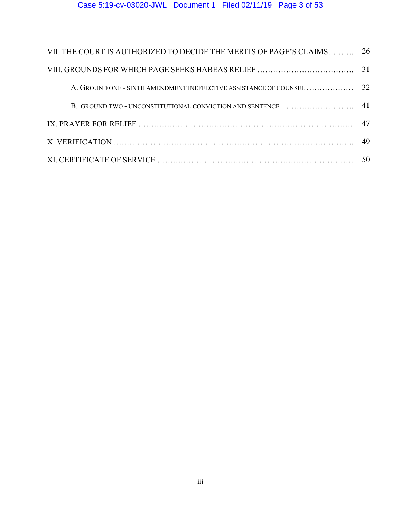# Case 5:19-cv-03020-JWL Document 1 Filed 02/11/19 Page 3 of 53

| VII. THE COURT IS AUTHORIZED TO DECIDE THE MERITS OF PAGE'S CLAIMS | 26 |  |  |  |
|--------------------------------------------------------------------|----|--|--|--|
|                                                                    |    |  |  |  |
| A. GROUND ONE - SIXTH AMENDMENT INEFFECTIVE ASSISTANCE OF COUNSEL  | 32 |  |  |  |
|                                                                    |    |  |  |  |
|                                                                    | 47 |  |  |  |
|                                                                    |    |  |  |  |
|                                                                    |    |  |  |  |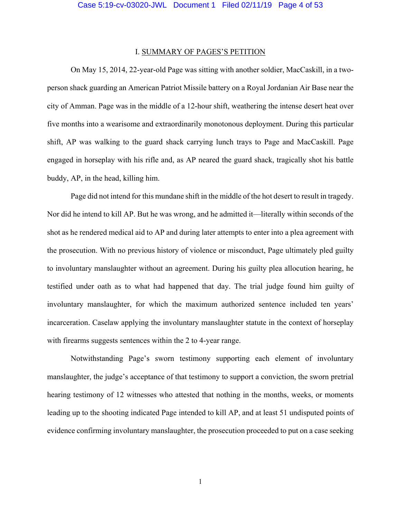# I. SUMMARY OF PAGES'S PETITION

 On May 15, 2014, 22-year-old Page was sitting with another soldier, MacCaskill, in a twoperson shack guarding an American Patriot Missile battery on a Royal Jordanian Air Base near the city of Amman. Page was in the middle of a 12-hour shift, weathering the intense desert heat over five months into a wearisome and extraordinarily monotonous deployment. During this particular shift, AP was walking to the guard shack carrying lunch trays to Page and MacCaskill. Page engaged in horseplay with his rifle and, as AP neared the guard shack, tragically shot his battle buddy, AP, in the head, killing him.

Page did not intend for this mundane shift in the middle of the hot desert to result in tragedy. Nor did he intend to kill AP. But he was wrong, and he admitted it—literally within seconds of the shot as he rendered medical aid to AP and during later attempts to enter into a plea agreement with the prosecution. With no previous history of violence or misconduct, Page ultimately pled guilty to involuntary manslaughter without an agreement. During his guilty plea allocution hearing, he testified under oath as to what had happened that day. The trial judge found him guilty of involuntary manslaughter, for which the maximum authorized sentence included ten years' incarceration. Caselaw applying the involuntary manslaughter statute in the context of horseplay with firearms suggests sentences within the 2 to 4-year range.

Notwithstanding Page's sworn testimony supporting each element of involuntary manslaughter, the judge's acceptance of that testimony to support a conviction, the sworn pretrial hearing testimony of 12 witnesses who attested that nothing in the months, weeks, or moments leading up to the shooting indicated Page intended to kill AP, and at least 51 undisputed points of evidence confirming involuntary manslaughter, the prosecution proceeded to put on a case seeking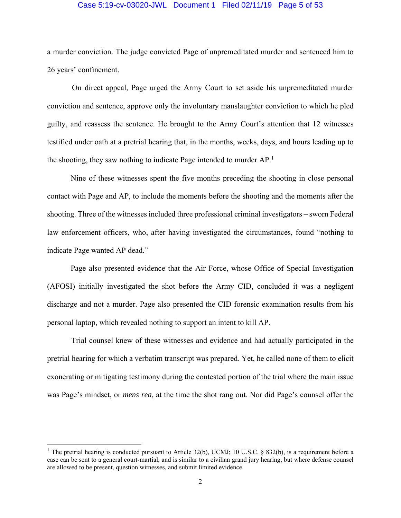## Case 5:19-cv-03020-JWL Document 1 Filed 02/11/19 Page 5 of 53

a murder conviction. The judge convicted Page of unpremeditated murder and sentenced him to 26 years' confinement.

 On direct appeal, Page urged the Army Court to set aside his unpremeditated murder conviction and sentence, approve only the involuntary manslaughter conviction to which he pled guilty, and reassess the sentence. He brought to the Army Court's attention that 12 witnesses testified under oath at a pretrial hearing that, in the months, weeks, days, and hours leading up to the shooting, they saw nothing to indicate Page intended to murder AP.<sup>1</sup>

 Nine of these witnesses spent the five months preceding the shooting in close personal contact with Page and AP, to include the moments before the shooting and the moments after the shooting. Three of the witnesses included three professional criminal investigators – sworn Federal law enforcement officers, who, after having investigated the circumstances, found "nothing to indicate Page wanted AP dead."

 Page also presented evidence that the Air Force, whose Office of Special Investigation (AFOSI) initially investigated the shot before the Army CID, concluded it was a negligent discharge and not a murder. Page also presented the CID forensic examination results from his personal laptop, which revealed nothing to support an intent to kill AP.

 Trial counsel knew of these witnesses and evidence and had actually participated in the pretrial hearing for which a verbatim transcript was prepared. Yet, he called none of them to elicit exonerating or mitigating testimony during the contested portion of the trial where the main issue was Page's mindset, or *mens rea,* at the time the shot rang out. Nor did Page's counsel offer the

<sup>&</sup>lt;sup>1</sup> The pretrial hearing is conducted pursuant to Article 32(b), UCMJ; 10 U.S.C. § 832(b), is a requirement before a case can be sent to a general court-martial, and is similar to a civilian grand jury hearing, but where defense counsel are allowed to be present, question witnesses, and submit limited evidence.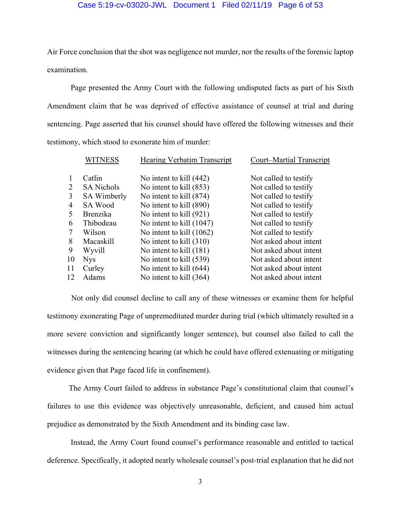# Case 5:19-cv-03020-JWL Document 1 Filed 02/11/19 Page 6 of 53

Air Force conclusion that the shot was negligence not murder, nor the results of the forensic laptop examination.

 Page presented the Army Court with the following undisputed facts as part of his Sixth Amendment claim that he was deprived of effective assistance of counsel at trial and during sentencing. Page asserted that his counsel should have offered the following witnesses and their testimony, which stood to exonerate him of murder:

|                | <b>WITNESS</b>     | <b>Hearing Verbatim Transcript</b> | Court-Martial Transcript |
|----------------|--------------------|------------------------------------|--------------------------|
|                | Catlin             | No intent to kill (442)            | Not called to testify    |
| 2              | <b>SA Nichols</b>  | No intent to kill (853)            | Not called to testify    |
| 3              | <b>SA Wimberly</b> | No intent to kill (874)            | Not called to testify    |
| $\overline{4}$ | SA Wood            | No intent to kill (890)            | Not called to testify    |
| 5              | <b>Brenzika</b>    | No intent to kill (921)            | Not called to testify    |
| 6              | Thibodeau          | No intent to kill (1047)           | Not called to testify    |
| 7              | Wilson             | No intent to kill $(1062)$         | Not called to testify    |
| 8              | Macaskill          | No intent to kill $(310)$          | Not asked about intent   |
| 9              | Wyvill             | No intent to kill (181)            | Not asked about intent   |
| 10             | <b>Nys</b>         | No intent to kill (539)            | Not asked about intent   |
| 11             | Curley             | No intent to kill (644)            | Not asked about intent   |
| 12             | Adams              | No intent to kill $(364)$          | Not asked about intent   |
|                |                    |                                    |                          |

 Not only did counsel decline to call any of these witnesses or examine them for helpful testimony exonerating Page of unpremeditated murder during trial (which ultimately resulted in a more severe conviction and significantly longer sentence), but counsel also failed to call the witnesses during the sentencing hearing (at which he could have offered extenuating or mitigating evidence given that Page faced life in confinement).

 The Army Court failed to address in substance Page's constitutional claim that counsel's failures to use this evidence was objectively unreasonable, deficient, and caused him actual prejudice as demonstrated by the Sixth Amendment and its binding case law.

 Instead, the Army Court found counsel's performance reasonable and entitled to tactical deference. Specifically, it adopted nearly wholesale counsel's post-trial explanation that he did not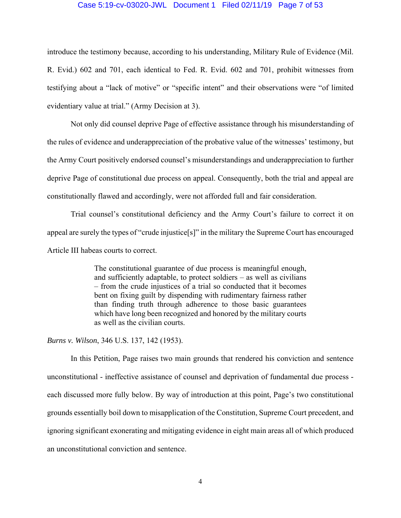## Case 5:19-cv-03020-JWL Document 1 Filed 02/11/19 Page 7 of 53

introduce the testimony because, according to his understanding, Military Rule of Evidence (Mil. R. Evid.) 602 and 701, each identical to Fed. R. Evid. 602 and 701, prohibit witnesses from testifying about a "lack of motive" or "specific intent" and their observations were "of limited evidentiary value at trial." (Army Decision at 3).

 Not only did counsel deprive Page of effective assistance through his misunderstanding of the rules of evidence and underappreciation of the probative value of the witnesses' testimony, but the Army Court positively endorsed counsel's misunderstandings and underappreciation to further deprive Page of constitutional due process on appeal. Consequently, both the trial and appeal are constitutionally flawed and accordingly, were not afforded full and fair consideration.

 Trial counsel's constitutional deficiency and the Army Court's failure to correct it on appeal are surely the types of "crude injustice[s]" in the military the Supreme Court has encouraged Article III habeas courts to correct.

> The constitutional guarantee of due process is meaningful enough, and sufficiently adaptable, to protect soldiers – as well as civilians – from the crude injustices of a trial so conducted that it becomes bent on fixing guilt by dispending with rudimentary fairness rather than finding truth through adherence to those basic guarantees which have long been recognized and honored by the military courts as well as the civilian courts.

*Burns v. Wilson*, 346 U.S. 137, 142 (1953).

 In this Petition, Page raises two main grounds that rendered his conviction and sentence unconstitutional - ineffective assistance of counsel and deprivation of fundamental due process each discussed more fully below. By way of introduction at this point, Page's two constitutional grounds essentially boil down to misapplication of the Constitution, Supreme Court precedent, and ignoring significant exonerating and mitigating evidence in eight main areas all of which produced an unconstitutional conviction and sentence.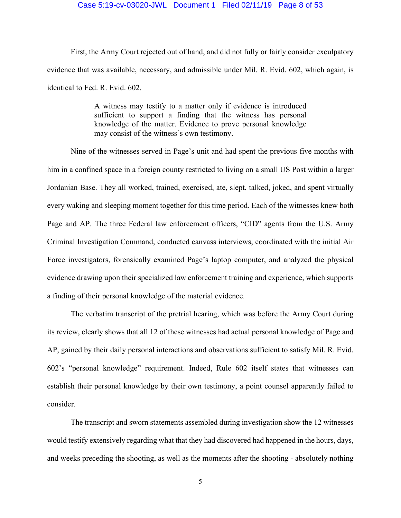# Case 5:19-cv-03020-JWL Document 1 Filed 02/11/19 Page 8 of 53

 First, the Army Court rejected out of hand, and did not fully or fairly consider exculpatory evidence that was available, necessary, and admissible under Mil. R. Evid. 602, which again, is identical to Fed. R. Evid. 602.

> A witness may testify to a matter only if evidence is introduced sufficient to support a finding that the witness has personal knowledge of the matter. Evidence to prove personal knowledge may consist of the witness's own testimony.

 Nine of the witnesses served in Page's unit and had spent the previous five months with him in a confined space in a foreign county restricted to living on a small US Post within a larger Jordanian Base. They all worked, trained, exercised, ate, slept, talked, joked, and spent virtually every waking and sleeping moment together for this time period. Each of the witnesses knew both Page and AP. The three Federal law enforcement officers, "CID" agents from the U.S. Army Criminal Investigation Command, conducted canvass interviews, coordinated with the initial Air Force investigators, forensically examined Page's laptop computer, and analyzed the physical evidence drawing upon their specialized law enforcement training and experience, which supports a finding of their personal knowledge of the material evidence.

 The verbatim transcript of the pretrial hearing, which was before the Army Court during its review, clearly shows that all 12 of these witnesses had actual personal knowledge of Page and AP, gained by their daily personal interactions and observations sufficient to satisfy Mil. R. Evid. 602's "personal knowledge" requirement. Indeed, Rule 602 itself states that witnesses can establish their personal knowledge by their own testimony, a point counsel apparently failed to consider.

 The transcript and sworn statements assembled during investigation show the 12 witnesses would testify extensively regarding what that they had discovered had happened in the hours, days, and weeks preceding the shooting, as well as the moments after the shooting - absolutely nothing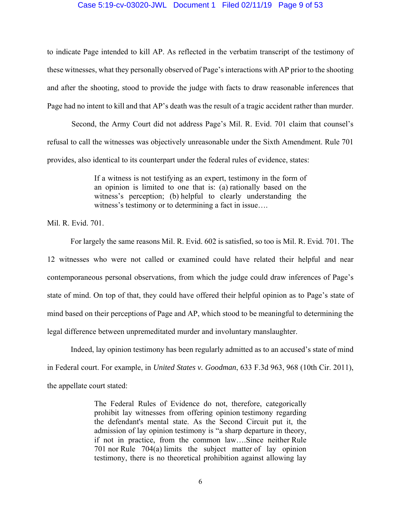## Case 5:19-cv-03020-JWL Document 1 Filed 02/11/19 Page 9 of 53

to indicate Page intended to kill AP. As reflected in the verbatim transcript of the testimony of these witnesses, what they personally observed of Page's interactions with AP prior to the shooting and after the shooting, stood to provide the judge with facts to draw reasonable inferences that Page had no intent to kill and that AP's death was the result of a tragic accident rather than murder.

 Second, the Army Court did not address Page's Mil. R. Evid. 701 claim that counsel's refusal to call the witnesses was objectively unreasonable under the Sixth Amendment. Rule 701 provides, also identical to its counterpart under the federal rules of evidence, states:

> If a witness is not testifying as an expert, testimony in the form of an opinion is limited to one that is: (a) rationally based on the witness's perception; (b) helpful to clearly understanding the witness's testimony or to determining a fact in issue….

Mil. R. Evid. 701.

 For largely the same reasons Mil. R. Evid. 602 is satisfied, so too is Mil. R. Evid. 701. The 12 witnesses who were not called or examined could have related their helpful and near contemporaneous personal observations, from which the judge could draw inferences of Page's state of mind. On top of that, they could have offered their helpful opinion as to Page's state of mind based on their perceptions of Page and AP, which stood to be meaningful to determining the legal difference between unpremeditated murder and involuntary manslaughter.

 Indeed, lay opinion testimony has been regularly admitted as to an accused's state of mind in Federal court. For example, in *United States v. Goodman*, 633 F.3d 963, 968 (10th Cir. 2011), the appellate court stated:

> The Federal Rules of Evidence do not, therefore, categorically prohibit lay witnesses from offering opinion testimony regarding the defendant's mental state. As the Second Circuit put it, the admission of lay opinion testimony is "a sharp departure in theory, if not in practice, from the common law….Since neither Rule 701 nor Rule 704(a) limits the subject matter of lay opinion testimony, there is no theoretical prohibition against allowing lay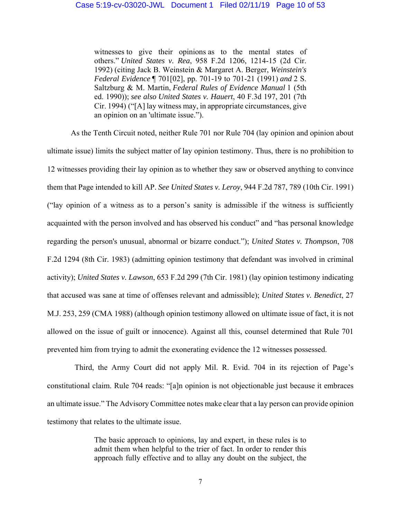witnesses to give their opinions as to the mental states of others." *United States v. Rea*, 958 F.2d 1206, 1214-15 (2d Cir. 1992) (citing Jack B. Weinstein & Margaret A. Berger, *Weinstein's Federal Evidence* ¶ 701[02], pp. 701-19 to 701-21 (1991) *and* 2 S. Saltzburg & M. Martin, *Federal Rules of Evidence Manual* 1 (5th ed. 1990)); *see also United States v. Hauert*, 40 F.3d 197, 201 (7th Cir. 1994) ("[A] lay witness may, in appropriate circumstances, give an opinion on an 'ultimate issue.").

 As the Tenth Circuit noted, neither Rule 701 nor Rule 704 (lay opinion and opinion about ultimate issue) limits the subject matter of lay opinion testimony. Thus, there is no prohibition to 12 witnesses providing their lay opinion as to whether they saw or observed anything to convince them that Page intended to kill AP. *See United States v. Leroy*, 944 F.2d 787, 789 (10th Cir. 1991) ("lay opinion of a witness as to a person's sanity is admissible if the witness is sufficiently acquainted with the person involved and has observed his conduct" and "has personal knowledge regarding the person's unusual, abnormal or bizarre conduct."); *United States v. Thompson*, 708 F.2d 1294 (8th Cir. 1983) (admitting opinion testimony that defendant was involved in criminal activity); *United States v. Lawson*, 653 F.2d 299 (7th Cir. 1981) (lay opinion testimony indicating that accused was sane at time of offenses relevant and admissible); *United States v. Benedict*, 27 M.J. 253, 259 (CMA 1988) (although opinion testimony allowed on ultimate issue of fact, it is not allowed on the issue of guilt or innocence). Against all this, counsel determined that Rule 701 prevented him from trying to admit the exonerating evidence the 12 witnesses possessed.

 Third, the Army Court did not apply Mil. R. Evid. 704 in its rejection of Page's constitutional claim. Rule 704 reads: "[a]n opinion is not objectionable just because it embraces an ultimate issue." The Advisory Committee notes make clear that a lay person can provide opinion testimony that relates to the ultimate issue.

> The basic approach to opinions, lay and expert, in these rules is to admit them when helpful to the trier of fact. In order to render this approach fully effective and to allay any doubt on the subject, the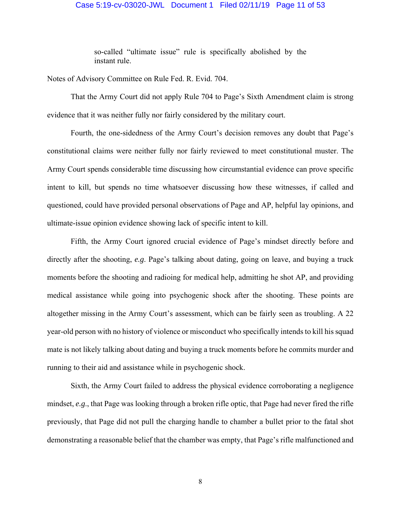### Case 5:19-cv-03020-JWL Document 1 Filed 02/11/19 Page 11 of 53

so-called "ultimate issue" rule is specifically abolished by the instant rule.

Notes of Advisory Committee on Rule Fed. R. Evid. 704.

 That the Army Court did not apply Rule 704 to Page's Sixth Amendment claim is strong evidence that it was neither fully nor fairly considered by the military court.

 Fourth, the one-sidedness of the Army Court's decision removes any doubt that Page's constitutional claims were neither fully nor fairly reviewed to meet constitutional muster. The Army Court spends considerable time discussing how circumstantial evidence can prove specific intent to kill, but spends no time whatsoever discussing how these witnesses, if called and questioned, could have provided personal observations of Page and AP, helpful lay opinions, and ultimate-issue opinion evidence showing lack of specific intent to kill.

 Fifth, the Army Court ignored crucial evidence of Page's mindset directly before and directly after the shooting, *e.g*. Page's talking about dating, going on leave, and buying a truck moments before the shooting and radioing for medical help, admitting he shot AP, and providing medical assistance while going into psychogenic shock after the shooting. These points are altogether missing in the Army Court's assessment, which can be fairly seen as troubling. A 22 year-old person with no history of violence or misconduct who specifically intends to kill his squad mate is not likely talking about dating and buying a truck moments before he commits murder and running to their aid and assistance while in psychogenic shock.

 Sixth, the Army Court failed to address the physical evidence corroborating a negligence mindset, *e.g*., that Page was looking through a broken rifle optic, that Page had never fired the rifle previously, that Page did not pull the charging handle to chamber a bullet prior to the fatal shot demonstrating a reasonable belief that the chamber was empty, that Page's rifle malfunctioned and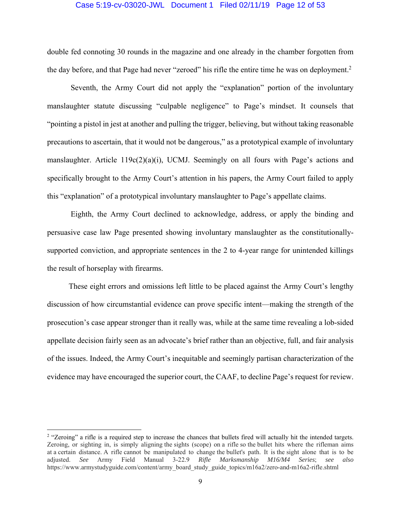## Case 5:19-cv-03020-JWL Document 1 Filed 02/11/19 Page 12 of 53

double fed connoting 30 rounds in the magazine and one already in the chamber forgotten from the day before, and that Page had never "zeroed" his rifle the entire time he was on deployment.<sup>2</sup>

 Seventh, the Army Court did not apply the "explanation" portion of the involuntary manslaughter statute discussing "culpable negligence" to Page's mindset. It counsels that "pointing a pistol in jest at another and pulling the trigger, believing, but without taking reasonable precautions to ascertain, that it would not be dangerous," as a prototypical example of involuntary manslaughter. Article 119c(2)(a)(i), UCMJ. Seemingly on all fours with Page's actions and specifically brought to the Army Court's attention in his papers, the Army Court failed to apply this "explanation" of a prototypical involuntary manslaughter to Page's appellate claims.

 Eighth, the Army Court declined to acknowledge, address, or apply the binding and persuasive case law Page presented showing involuntary manslaughter as the constitutionallysupported conviction, and appropriate sentences in the 2 to 4-year range for unintended killings the result of horseplay with firearms.

 These eight errors and omissions left little to be placed against the Army Court's lengthy discussion of how circumstantial evidence can prove specific intent—making the strength of the prosecution's case appear stronger than it really was, while at the same time revealing a lob-sided appellate decision fairly seen as an advocate's brief rather than an objective, full, and fair analysis of the issues. Indeed, the Army Court's inequitable and seemingly partisan characterization of the evidence may have encouraged the superior court, the CAAF, to decline Page's request for review.

<sup>&</sup>lt;sup>2</sup> "Zeroing" a rifle is a required step to increase the chances that bullets fired will actually hit the intended targets. Zeroing, or sighting in, is simply aligning the sights (scope) on a rifle so the bullet hits where the rifleman aims at a certain distance. A rifle cannot be manipulated to change the bullet's path. It is the sight alone that is to be adjusted. *See* Army Field Manual 3-22.9 *Rifle Marksmanship M16/M4 Series*; *see also* https://www.armystudyguide.com/content/army\_board\_study\_guide\_topics/m16a2/zero-and-m16a2-rifle.shtml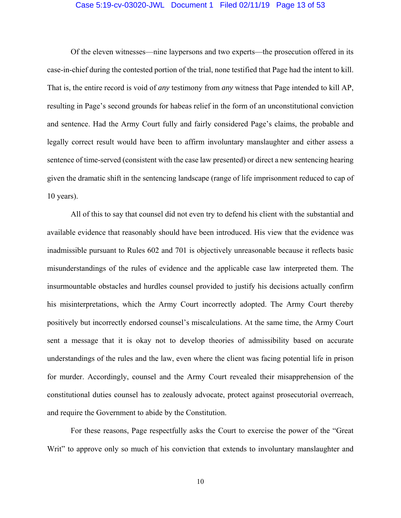#### Case 5:19-cv-03020-JWL Document 1 Filed 02/11/19 Page 13 of 53

 Of the eleven witnesses—nine laypersons and two experts—the prosecution offered in its case-in-chief during the contested portion of the trial, none testified that Page had the intent to kill. That is, the entire record is void of *any* testimony from *any* witness that Page intended to kill AP, resulting in Page's second grounds for habeas relief in the form of an unconstitutional conviction and sentence. Had the Army Court fully and fairly considered Page's claims, the probable and legally correct result would have been to affirm involuntary manslaughter and either assess a sentence of time-served (consistent with the case law presented) or direct a new sentencing hearing given the dramatic shift in the sentencing landscape (range of life imprisonment reduced to cap of 10 years).

 All of this to say that counsel did not even try to defend his client with the substantial and available evidence that reasonably should have been introduced. His view that the evidence was inadmissible pursuant to Rules 602 and 701 is objectively unreasonable because it reflects basic misunderstandings of the rules of evidence and the applicable case law interpreted them. The insurmountable obstacles and hurdles counsel provided to justify his decisions actually confirm his misinterpretations, which the Army Court incorrectly adopted. The Army Court thereby positively but incorrectly endorsed counsel's miscalculations. At the same time, the Army Court sent a message that it is okay not to develop theories of admissibility based on accurate understandings of the rules and the law, even where the client was facing potential life in prison for murder. Accordingly, counsel and the Army Court revealed their misapprehension of the constitutional duties counsel has to zealously advocate, protect against prosecutorial overreach, and require the Government to abide by the Constitution.

 For these reasons, Page respectfully asks the Court to exercise the power of the "Great Writ" to approve only so much of his conviction that extends to involuntary manslaughter and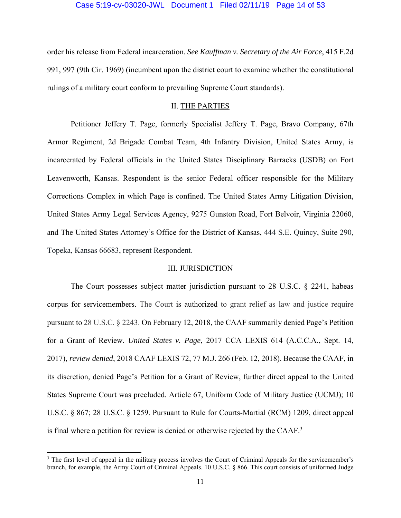## Case 5:19-cv-03020-JWL Document 1 Filed 02/11/19 Page 14 of 53

order his release from Federal incarceration. *See Kauffman v. Secretary of the Air Force*, 415 F.2d 991, 997 (9th Cir. 1969) (incumbent upon the district court to examine whether the constitutional rulings of a military court conform to prevailing Supreme Court standards).

# II. THE PARTIES

 Petitioner Jeffery T. Page, formerly Specialist Jeffery T. Page, Bravo Company, 67th Armor Regiment, 2d Brigade Combat Team, 4th Infantry Division, United States Army, is incarcerated by Federal officials in the United States Disciplinary Barracks (USDB) on Fort Leavenworth, Kansas. Respondent is the senior Federal officer responsible for the Military Corrections Complex in which Page is confined. The United States Army Litigation Division, United States Army Legal Services Agency, 9275 Gunston Road, Fort Belvoir, Virginia 22060, and The United States Attorney's Office for the District of Kansas, 444 S.E. Quincy, Suite 290, Topeka, Kansas 66683, represent Respondent.

# III. JURISDICTION

 The Court possesses subject matter jurisdiction pursuant to 28 U.S.C. § 2241, habeas corpus for servicemembers. The Court is authorized to grant relief as law and justice require pursuant to 28 U.S.C. § 2243. On February 12, 2018, the CAAF summarily denied Page's Petition for a Grant of Review. *United States v. Page*, 2017 CCA LEXIS 614 (A.C.C.A., Sept. 14, 2017), *review denied*, 2018 CAAF LEXIS 72, 77 M.J. 266 (Feb. 12, 2018). Because the CAAF, in its discretion, denied Page's Petition for a Grant of Review, further direct appeal to the United States Supreme Court was precluded. Article 67, Uniform Code of Military Justice (UCMJ); 10 U.S.C. § 867; 28 U.S.C. § 1259. Pursuant to Rule for Courts-Martial (RCM) 1209, direct appeal is final where a petition for review is denied or otherwise rejected by the CAAF.3

<sup>&</sup>lt;sup>3</sup> The first level of appeal in the military process involves the Court of Criminal Appeals for the servicemember's branch, for example, the Army Court of Criminal Appeals. 10 U.S.C. § 866. This court consists of uniformed Judge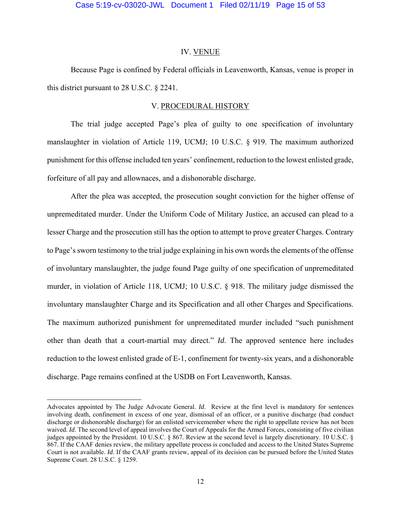# Case 5:19-cv-03020-JWL Document 1 Filed 02/11/19 Page 15 of 53

#### IV. VENUE

 Because Page is confined by Federal officials in Leavenworth, Kansas, venue is proper in this district pursuant to 28 U.S.C. § 2241.

# V. PROCEDURAL HISTORY

 The trial judge accepted Page's plea of guilty to one specification of involuntary manslaughter in violation of Article 119, UCMJ; 10 U.S.C. § 919. The maximum authorized punishment for this offense included ten years' confinement, reduction to the lowest enlisted grade, forfeiture of all pay and allownaces, and a dishonorable discharge.

 After the plea was accepted, the prosecution sought conviction for the higher offense of unpremeditated murder. Under the Uniform Code of Military Justice, an accused can plead to a lesser Charge and the prosecution still has the option to attempt to prove greater Charges. Contrary to Page's sworn testimony to the trial judge explaining in his own words the elements of the offense of involuntary manslaughter, the judge found Page guilty of one specification of unpremeditated murder, in violation of Article 118, UCMJ; 10 U.S.C. § 918. The military judge dismissed the involuntary manslaughter Charge and its Specification and all other Charges and Specifications. The maximum authorized punishment for unpremeditated murder included "such punishment other than death that a court-martial may direct." *Id*. The approved sentence here includes reduction to the lowest enlisted grade of E-1, confinement for twenty-six years, and a dishonorable discharge. Page remains confined at the USDB on Fort Leavenworth, Kansas.

Advocates appointed by The Judge Advocate General. *Id*. Review at the first level is mandatory for sentences involving death, confinement in excess of one year, dismissal of an officer, or a punitive discharge (bad conduct discharge or dishonorable discharge) for an enlisted servicemember where the right to appellate review has not been waived. *Id*. The second level of appeal involves the Court of Appeals for the Armed Forces, consisting of five civilian judges appointed by the President. 10 U.S.C. § 867. Review at the second level is largely discretionary. 10 U.S.C. § 867. If the CAAF denies review, the military appellate process is concluded and access to the United States Supreme Court is not available. *Id*. If the CAAF grants review, appeal of its decision can be pursued before the United States Supreme Court. 28 U.S.C. § 1259.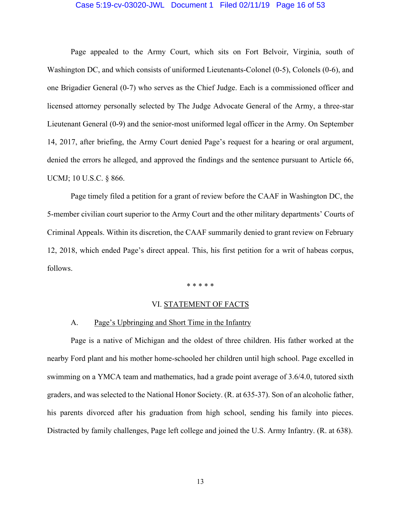#### Case 5:19-cv-03020-JWL Document 1 Filed 02/11/19 Page 16 of 53

 Page appealed to the Army Court, which sits on Fort Belvoir, Virginia, south of Washington DC, and which consists of uniformed Lieutenants-Colonel (0-5), Colonels (0-6), and one Brigadier General (0-7) who serves as the Chief Judge. Each is a commissioned officer and licensed attorney personally selected by The Judge Advocate General of the Army, a three-star Lieutenant General (0-9) and the senior-most uniformed legal officer in the Army. On September 14, 2017, after briefing, the Army Court denied Page's request for a hearing or oral argument, denied the errors he alleged, and approved the findings and the sentence pursuant to Article 66, UCMJ; 10 U.S.C. § 866.

 Page timely filed a petition for a grant of review before the CAAF in Washington DC, the 5-member civilian court superior to the Army Court and the other military departments' Courts of Criminal Appeals. Within its discretion, the CAAF summarily denied to grant review on February 12, 2018, which ended Page's direct appeal. This, his first petition for a writ of habeas corpus, follows.

\* \* \* \* \*

# VI. STATEMENT OF FACTS

# A. Page's Upbringing and Short Time in the Infantry

 Page is a native of Michigan and the oldest of three children. His father worked at the nearby Ford plant and his mother home-schooled her children until high school. Page excelled in swimming on a YMCA team and mathematics, had a grade point average of 3.6/4.0, tutored sixth graders, and was selected to the National Honor Society. (R. at 635-37). Son of an alcoholic father, his parents divorced after his graduation from high school, sending his family into pieces. Distracted by family challenges, Page left college and joined the U.S. Army Infantry. (R. at 638).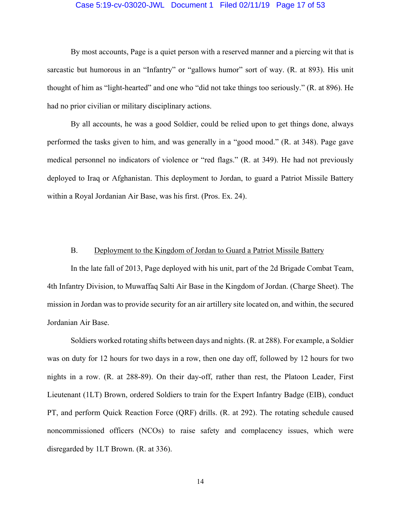#### Case 5:19-cv-03020-JWL Document 1 Filed 02/11/19 Page 17 of 53

 By most accounts, Page is a quiet person with a reserved manner and a piercing wit that is sarcastic but humorous in an "Infantry" or "gallows humor" sort of way. (R. at 893). His unit thought of him as "light-hearted" and one who "did not take things too seriously." (R. at 896). He had no prior civilian or military disciplinary actions.

 By all accounts, he was a good Soldier, could be relied upon to get things done, always performed the tasks given to him, and was generally in a "good mood." (R. at 348). Page gave medical personnel no indicators of violence or "red flags." (R. at 349). He had not previously deployed to Iraq or Afghanistan. This deployment to Jordan, to guard a Patriot Missile Battery within a Royal Jordanian Air Base, was his first. (Pros. Ex. 24).

# B. Deployment to the Kingdom of Jordan to Guard a Patriot Missile Battery

 In the late fall of 2013, Page deployed with his unit, part of the 2d Brigade Combat Team, 4th Infantry Division, to Muwaffaq Salti Air Base in the Kingdom of Jordan. (Charge Sheet). The mission in Jordan was to provide security for an air artillery site located on, and within, the secured Jordanian Air Base.

 Soldiers worked rotating shifts between days and nights. (R. at 288). For example, a Soldier was on duty for 12 hours for two days in a row, then one day off, followed by 12 hours for two nights in a row. (R. at 288-89). On their day-off, rather than rest, the Platoon Leader, First Lieutenant (1LT) Brown, ordered Soldiers to train for the Expert Infantry Badge (EIB), conduct PT, and perform Quick Reaction Force (QRF) drills. (R. at 292). The rotating schedule caused noncommissioned officers (NCOs) to raise safety and complacency issues, which were disregarded by 1LT Brown. (R. at 336).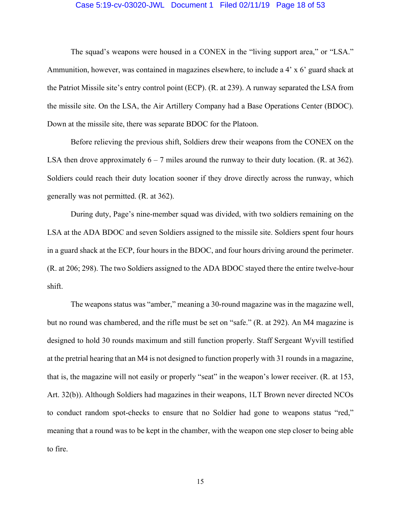#### Case 5:19-cv-03020-JWL Document 1 Filed 02/11/19 Page 18 of 53

 The squad's weapons were housed in a CONEX in the "living support area," or "LSA." Ammunition, however, was contained in magazines elsewhere, to include a 4' x 6' guard shack at the Patriot Missile site's entry control point (ECP). (R. at 239). A runway separated the LSA from the missile site. On the LSA, the Air Artillery Company had a Base Operations Center (BDOC). Down at the missile site, there was separate BDOC for the Platoon.

 Before relieving the previous shift, Soldiers drew their weapons from the CONEX on the LSA then drove approximately  $6 - 7$  miles around the runway to their duty location. (R. at 362). Soldiers could reach their duty location sooner if they drove directly across the runway, which generally was not permitted. (R. at 362).

 During duty, Page's nine-member squad was divided, with two soldiers remaining on the LSA at the ADA BDOC and seven Soldiers assigned to the missile site. Soldiers spent four hours in a guard shack at the ECP, four hours in the BDOC, and four hours driving around the perimeter. (R. at 206; 298). The two Soldiers assigned to the ADA BDOC stayed there the entire twelve-hour shift.

 The weapons status was "amber," meaning a 30-round magazine was in the magazine well, but no round was chambered, and the rifle must be set on "safe." (R. at 292). An M4 magazine is designed to hold 30 rounds maximum and still function properly. Staff Sergeant Wyvill testified at the pretrial hearing that an M4 is not designed to function properly with 31 rounds in a magazine, that is, the magazine will not easily or properly "seat" in the weapon's lower receiver. (R. at 153, Art. 32(b)). Although Soldiers had magazines in their weapons, 1LT Brown never directed NCOs to conduct random spot-checks to ensure that no Soldier had gone to weapons status "red," meaning that a round was to be kept in the chamber, with the weapon one step closer to being able to fire.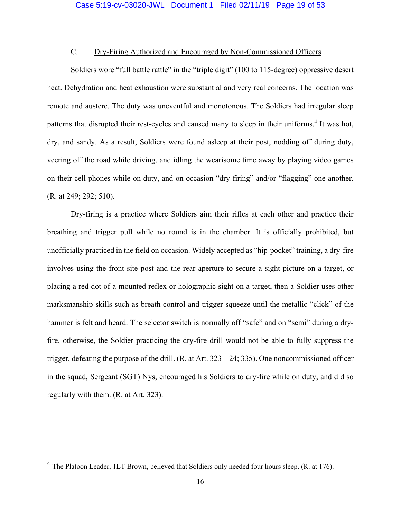# C. Dry-Firing Authorized and Encouraged by Non-Commissioned Officers

 Soldiers wore "full battle rattle" in the "triple digit" (100 to 115-degree) oppressive desert heat. Dehydration and heat exhaustion were substantial and very real concerns. The location was remote and austere. The duty was uneventful and monotonous. The Soldiers had irregular sleep patterns that disrupted their rest-cycles and caused many to sleep in their uniforms.<sup>4</sup> It was hot, dry, and sandy. As a result, Soldiers were found asleep at their post, nodding off during duty, veering off the road while driving, and idling the wearisome time away by playing video games on their cell phones while on duty, and on occasion "dry-firing" and/or "flagging" one another. (R. at 249; 292; 510).

 Dry-firing is a practice where Soldiers aim their rifles at each other and practice their breathing and trigger pull while no round is in the chamber. It is officially prohibited, but unofficially practiced in the field on occasion. Widely accepted as "hip-pocket" training, a dry-fire involves using the front site post and the rear aperture to secure a sight-picture on a target, or placing a red dot of a mounted reflex or holographic sight on a target, then a Soldier uses other marksmanship skills such as breath control and trigger squeeze until the metallic "click" of the hammer is felt and heard. The selector switch is normally off "safe" and on "semi" during a dryfire, otherwise, the Soldier practicing the dry-fire drill would not be able to fully suppress the trigger, defeating the purpose of the drill. (R. at Art. 323 – 24; 335). One noncommissioned officer in the squad, Sergeant (SGT) Nys, encouraged his Soldiers to dry-fire while on duty, and did so regularly with them. (R. at Art. 323).

<sup>4</sup> The Platoon Leader, 1LT Brown, believed that Soldiers only needed four hours sleep. (R. at 176).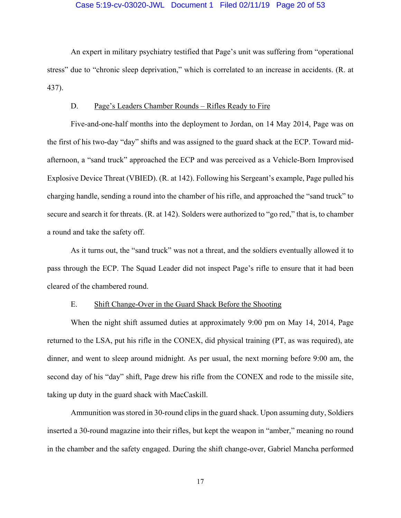## Case 5:19-cv-03020-JWL Document 1 Filed 02/11/19 Page 20 of 53

 An expert in military psychiatry testified that Page's unit was suffering from "operational stress" due to "chronic sleep deprivation," which is correlated to an increase in accidents. (R. at 437).

# D. Page's Leaders Chamber Rounds – Rifles Ready to Fire

 Five-and-one-half months into the deployment to Jordan, on 14 May 2014, Page was on the first of his two-day "day" shifts and was assigned to the guard shack at the ECP. Toward midafternoon, a "sand truck" approached the ECP and was perceived as a Vehicle-Born Improvised Explosive Device Threat (VBIED). (R. at 142). Following his Sergeant's example, Page pulled his charging handle, sending a round into the chamber of his rifle, and approached the "sand truck" to secure and search it for threats. (R. at 142). Solders were authorized to "go red," that is, to chamber a round and take the safety off.

 As it turns out, the "sand truck" was not a threat, and the soldiers eventually allowed it to pass through the ECP. The Squad Leader did not inspect Page's rifle to ensure that it had been cleared of the chambered round.

# E. Shift Change-Over in the Guard Shack Before the Shooting

 When the night shift assumed duties at approximately 9:00 pm on May 14, 2014, Page returned to the LSA, put his rifle in the CONEX, did physical training (PT, as was required), ate dinner, and went to sleep around midnight. As per usual, the next morning before 9:00 am, the second day of his "day" shift, Page drew his rifle from the CONEX and rode to the missile site, taking up duty in the guard shack with MacCaskill.

 Ammunition was stored in 30-round clips in the guard shack. Upon assuming duty, Soldiers inserted a 30-round magazine into their rifles, but kept the weapon in "amber," meaning no round in the chamber and the safety engaged. During the shift change-over, Gabriel Mancha performed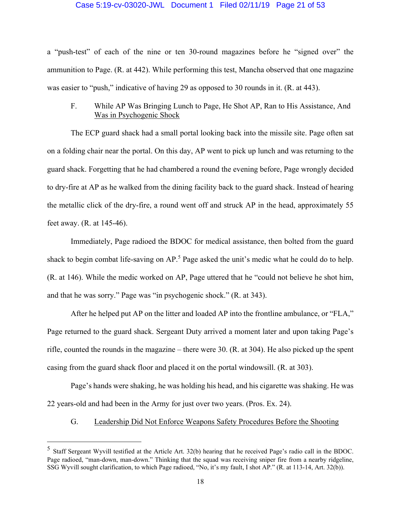# Case 5:19-cv-03020-JWL Document 1 Filed 02/11/19 Page 21 of 53

a "push-test" of each of the nine or ten 30-round magazines before he "signed over" the ammunition to Page. (R. at 442). While performing this test, Mancha observed that one magazine was easier to "push," indicative of having 29 as opposed to 30 rounds in it. (R. at 443).

 F. While AP Was Bringing Lunch to Page, He Shot AP, Ran to His Assistance, And Was in Psychogenic Shock

 The ECP guard shack had a small portal looking back into the missile site. Page often sat on a folding chair near the portal. On this day, AP went to pick up lunch and was returning to the guard shack. Forgetting that he had chambered a round the evening before, Page wrongly decided to dry-fire at AP as he walked from the dining facility back to the guard shack. Instead of hearing the metallic click of the dry-fire, a round went off and struck AP in the head, approximately 55 feet away. (R. at 145-46).

 Immediately, Page radioed the BDOC for medical assistance, then bolted from the guard shack to begin combat life-saving on AP.<sup>5</sup> Page asked the unit's medic what he could do to help. (R. at 146). While the medic worked on AP, Page uttered that he "could not believe he shot him, and that he was sorry." Page was "in psychogenic shock." (R. at 343).

 After he helped put AP on the litter and loaded AP into the frontline ambulance, or "FLA," Page returned to the guard shack. Sergeant Duty arrived a moment later and upon taking Page's rifle, counted the rounds in the magazine – there were 30. (R. at 304). He also picked up the spent casing from the guard shack floor and placed it on the portal windowsill. (R. at 303).

 Page's hands were shaking, he was holding his head, and his cigarette was shaking. He was 22 years-old and had been in the Army for just over two years. (Pros. Ex. 24).

G. Leadership Did Not Enforce Weapons Safety Procedures Before the Shooting

<sup>5</sup> Staff Sergeant Wyvill testified at the Article Art. 32(b) hearing that he received Page's radio call in the BDOC. Page radioed, "man-down, man-down." Thinking that the squad was receiving sniper fire from a nearby ridgeline, SSG Wyvill sought clarification, to which Page radioed, "No, it's my fault, I shot AP." (R. at 113-14, Art. 32(b)).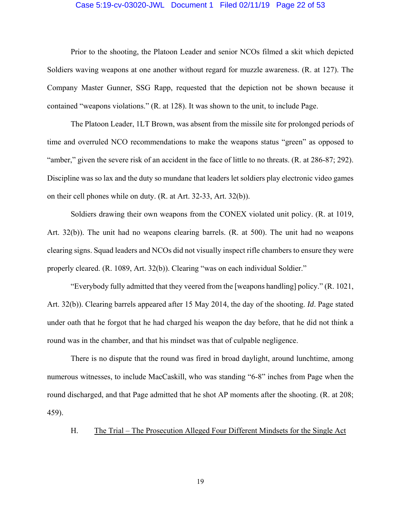#### Case 5:19-cv-03020-JWL Document 1 Filed 02/11/19 Page 22 of 53

 Prior to the shooting, the Platoon Leader and senior NCOs filmed a skit which depicted Soldiers waving weapons at one another without regard for muzzle awareness. (R. at 127). The Company Master Gunner, SSG Rapp, requested that the depiction not be shown because it contained "weapons violations." (R. at 128). It was shown to the unit, to include Page.

 The Platoon Leader, 1LT Brown, was absent from the missile site for prolonged periods of time and overruled NCO recommendations to make the weapons status "green" as opposed to "amber," given the severe risk of an accident in the face of little to no threats. (R. at 286-87; 292). Discipline was so lax and the duty so mundane that leaders let soldiers play electronic video games on their cell phones while on duty. (R. at Art. 32-33, Art. 32(b)).

 Soldiers drawing their own weapons from the CONEX violated unit policy. (R. at 1019, Art. 32(b)). The unit had no weapons clearing barrels. (R. at 500). The unit had no weapons clearing signs. Squad leaders and NCOs did not visually inspect rifle chambers to ensure they were properly cleared. (R. 1089, Art. 32(b)). Clearing "was on each individual Soldier."

 "Everybody fully admitted that they veered from the [weapons handling] policy." (R. 1021, Art. 32(b)). Clearing barrels appeared after 15 May 2014, the day of the shooting. *Id*. Page stated under oath that he forgot that he had charged his weapon the day before, that he did not think a round was in the chamber, and that his mindset was that of culpable negligence.

 There is no dispute that the round was fired in broad daylight, around lunchtime, among numerous witnesses, to include MacCaskill, who was standing "6-8" inches from Page when the round discharged, and that Page admitted that he shot AP moments after the shooting. (R. at 208; 459).

H. The Trial – The Prosecution Alleged Four Different Mindsets for the Single Act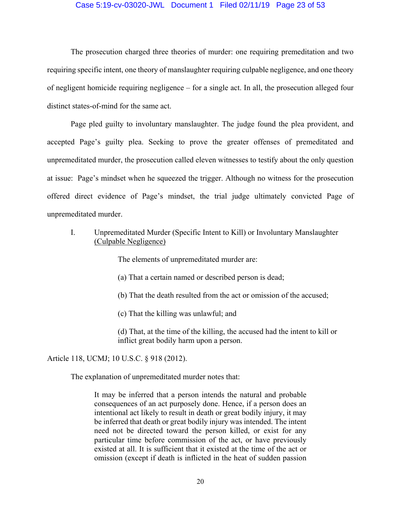# Case 5:19-cv-03020-JWL Document 1 Filed 02/11/19 Page 23 of 53

 The prosecution charged three theories of murder: one requiring premeditation and two requiring specific intent, one theory of manslaughter requiring culpable negligence, and one theory of negligent homicide requiring negligence – for a single act. In all, the prosecution alleged four distinct states-of-mind for the same act.

 Page pled guilty to involuntary manslaughter. The judge found the plea provident, and accepted Page's guilty plea. Seeking to prove the greater offenses of premeditated and unpremeditated murder, the prosecution called eleven witnesses to testify about the only question at issue: Page's mindset when he squeezed the trigger. Although no witness for the prosecution offered direct evidence of Page's mindset, the trial judge ultimately convicted Page of unpremeditated murder.

 I. Unpremeditated Murder (Specific Intent to Kill) or Involuntary Manslaughter (Culpable Negligence)

The elements of unpremeditated murder are:

(a) That a certain named or described person is dead;

(b) That the death resulted from the act or omission of the accused;

(c) That the killing was unlawful; and

 (d) That, at the time of the killing, the accused had the intent to kill or inflict great bodily harm upon a person.

Article 118, UCMJ; 10 U.S.C. § 918 (2012).

The explanation of unpremeditated murder notes that:

It may be inferred that a person intends the natural and probable consequences of an act purposely done. Hence, if a person does an intentional act likely to result in death or great bodily injury, it may be inferred that death or great bodily injury was intended. The intent need not be directed toward the person killed, or exist for any particular time before commission of the act, or have previously existed at all. It is sufficient that it existed at the time of the act or omission (except if death is inflicted in the heat of sudden passion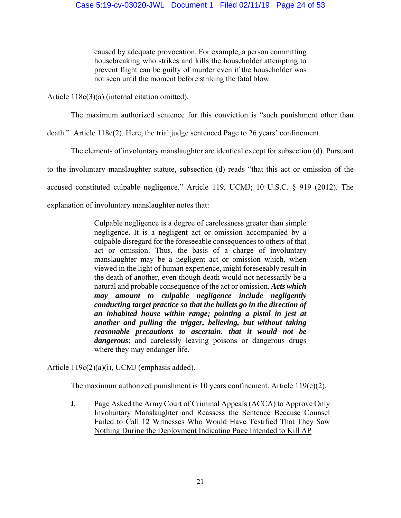caused by adequate provocation. For example, a person committing housebreaking who strikes and kills the householder attempting to prevent flight can be guilty of murder even if the householder was not seen until the moment before striking the fatal blow.

Article 118c(3)(a) (internal citation omitted).

The maximum authorized sentence for this conviction is "such punishment other than

death." Article 118e(2). Here, the trial judge sentenced Page to 26 years' confinement.

The elements of involuntary manslaughter are identical except for subsection (d). Pursuant

to the involuntary manslaughter statute, subsection (d) reads "that this act or omission of the

accused constituted culpable negligence." Article 119, UCMJ; 10 U.S.C. § 919 (2012). The

explanation of involuntary manslaughter notes that:

Culpable negligence is a degree of carelessness greater than simple negligence. It is a negligent act or omission accompanied by a culpable disregard for the foreseeable consequences to others of that act or omission. Thus, the basis of a charge of involuntary manslaughter may be a negligent act or omission which, when viewed in the light of human experience, might foreseeably result in the death of another, even though death would not necessarily be a natural and probable consequence of the act or omission. *Acts which may amount to culpable negligence include negligently conducting target practice so that the bullets go in the direction of an inhabited house within range; pointing a pistol in jest at another and pulling the trigger, believing, but without taking reasonable precautions to ascertain*, *that it would not be dangerous*; and carelessly leaving poisons or dangerous drugs where they may endanger life.

Article 119c(2)(a)(i), UCMJ (emphasis added).

The maximum authorized punishment is 10 years confinement. Article 119 $(e)(2)$ .

J. Page Asked the Army Court of Criminal Appeals (ACCA) to Approve Only Involuntary Manslaughter and Reassess the Sentence Because Counsel Failed to Call 12 Witnesses Who Would Have Testified That They Saw Nothing During the Deployment Indicating Page Intended to Kill AP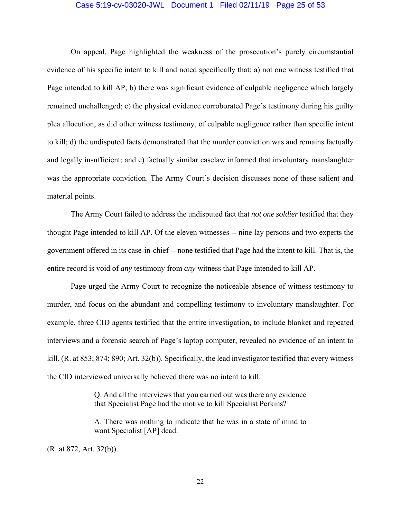#### Case 5:19-cv-03020-JWL Document 1 Filed 02/11/19 Page 25 of 53

 On appeal, Page highlighted the weakness of the prosecution's purely circumstantial evidence of his specific intent to kill and noted specifically that: a) not one witness testified that Page intended to kill AP; b) there was significant evidence of culpable negligence which largely remained unchallenged; c) the physical evidence corroborated Page's testimony during his guilty plea allocution, as did other witness testimony, of culpable negligence rather than specific intent to kill; d) the undisputed facts demonstrated that the murder conviction was and remains factually and legally insufficient; and e) factually similar caselaw informed that involuntary manslaughter was the appropriate conviction. The Army Court's decision discusses none of these salient and material points.

 The Army Court failed to address the undisputed fact that *not one soldier* testified that they thought Page intended to kill AP. Of the eleven witnesses -- nine lay persons and two experts the government offered in its case-in-chief -- none testified that Page had the intent to kill. That is, the entire record is void of *any* testimony from *any* witness that Page intended to kill AP.

 Page urged the Army Court to recognize the noticeable absence of witness testimony to murder, and focus on the abundant and compelling testimony to involuntary manslaughter. For example, three CID agents testified that the entire investigation, to include blanket and repeated interviews and a forensic search of Page's laptop computer, revealed no evidence of an intent to kill. (R. at 853; 874; 890; Art. 32(b)). Specifically, the lead investigator testified that every witness the CID interviewed universally believed there was no intent to kill:

> Q. And all the interviews that you carried out was there any evidence that Specialist Page had the motive to kill Specialist Perkins?

> A. There was nothing to indicate that he was in a state of mind to want Specialist [AP] dead.

(R. at 872, Art. 32(b)).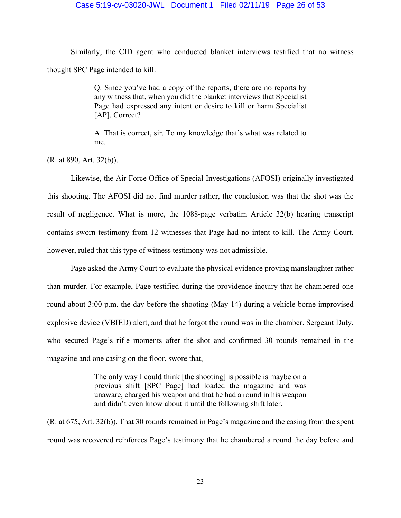Similarly, the CID agent who conducted blanket interviews testified that no witness thought SPC Page intended to kill:

> Q. Since you've had a copy of the reports, there are no reports by any witness that, when you did the blanket interviews that Specialist Page had expressed any intent or desire to kill or harm Specialist [AP]. Correct?

> A. That is correct, sir. To my knowledge that's what was related to me.

(R. at 890, Art. 32(b)).

 Likewise, the Air Force Office of Special Investigations (AFOSI) originally investigated this shooting. The AFOSI did not find murder rather, the conclusion was that the shot was the result of negligence. What is more, the 1088-page verbatim Article 32(b) hearing transcript contains sworn testimony from 12 witnesses that Page had no intent to kill. The Army Court, however, ruled that this type of witness testimony was not admissible.

 Page asked the Army Court to evaluate the physical evidence proving manslaughter rather than murder. For example, Page testified during the providence inquiry that he chambered one round about 3:00 p.m. the day before the shooting (May 14) during a vehicle borne improvised explosive device (VBIED) alert, and that he forgot the round was in the chamber. Sergeant Duty, who secured Page's rifle moments after the shot and confirmed 30 rounds remained in the magazine and one casing on the floor, swore that,

> The only way I could think [the shooting] is possible is maybe on a previous shift [SPC Page] had loaded the magazine and was unaware, charged his weapon and that he had a round in his weapon and didn't even know about it until the following shift later.

(R. at 675, Art. 32(b)). That 30 rounds remained in Page's magazine and the casing from the spent round was recovered reinforces Page's testimony that he chambered a round the day before and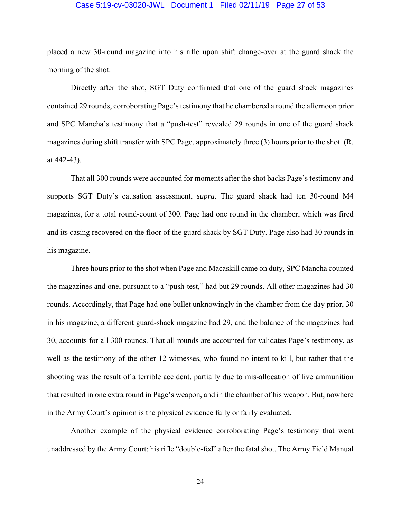#### Case 5:19-cv-03020-JWL Document 1 Filed 02/11/19 Page 27 of 53

placed a new 30-round magazine into his rifle upon shift change-over at the guard shack the morning of the shot.

 Directly after the shot, SGT Duty confirmed that one of the guard shack magazines contained 29 rounds, corroborating Page's testimony that he chambered a round the afternoon prior and SPC Mancha's testimony that a "push-test" revealed 29 rounds in one of the guard shack magazines during shift transfer with SPC Page, approximately three (3) hours prior to the shot. (R. at 442-43).

 That all 300 rounds were accounted for moments after the shot backs Page's testimony and supports SGT Duty's causation assessment, *supra*. The guard shack had ten 30-round M4 magazines, for a total round-count of 300. Page had one round in the chamber, which was fired and its casing recovered on the floor of the guard shack by SGT Duty. Page also had 30 rounds in his magazine.

 Three hours prior to the shot when Page and Macaskill came on duty, SPC Mancha counted the magazines and one, pursuant to a "push-test," had but 29 rounds. All other magazines had 30 rounds. Accordingly, that Page had one bullet unknowingly in the chamber from the day prior, 30 in his magazine, a different guard-shack magazine had 29, and the balance of the magazines had 30, accounts for all 300 rounds. That all rounds are accounted for validates Page's testimony, as well as the testimony of the other 12 witnesses, who found no intent to kill, but rather that the shooting was the result of a terrible accident, partially due to mis-allocation of live ammunition that resulted in one extra round in Page's weapon, and in the chamber of his weapon. But, nowhere in the Army Court's opinion is the physical evidence fully or fairly evaluated.

 Another example of the physical evidence corroborating Page's testimony that went unaddressed by the Army Court: his rifle "double-fed" after the fatal shot. The Army Field Manual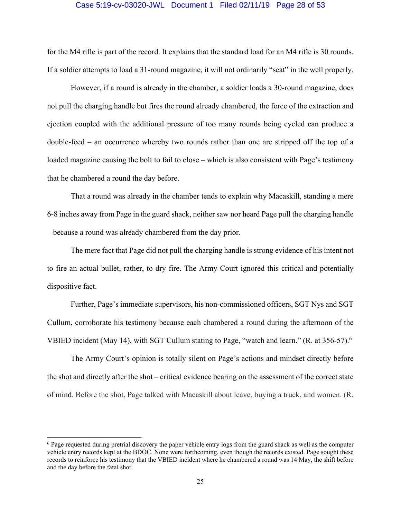## Case 5:19-cv-03020-JWL Document 1 Filed 02/11/19 Page 28 of 53

for the M4 rifle is part of the record. It explains that the standard load for an M4 rifle is 30 rounds. If a soldier attempts to load a 31-round magazine, it will not ordinarily "seat" in the well properly.

 However, if a round is already in the chamber, a soldier loads a 30-round magazine, does not pull the charging handle but fires the round already chambered, the force of the extraction and ejection coupled with the additional pressure of too many rounds being cycled can produce a double-feed – an occurrence whereby two rounds rather than one are stripped off the top of a loaded magazine causing the bolt to fail to close – which is also consistent with Page's testimony that he chambered a round the day before.

 That a round was already in the chamber tends to explain why Macaskill, standing a mere 6-8 inches away from Page in the guard shack, neither saw nor heard Page pull the charging handle – because a round was already chambered from the day prior.

 The mere fact that Page did not pull the charging handle is strong evidence of his intent not to fire an actual bullet, rather, to dry fire. The Army Court ignored this critical and potentially dispositive fact.

 Further, Page's immediate supervisors, his non-commissioned officers, SGT Nys and SGT Cullum, corroborate his testimony because each chambered a round during the afternoon of the VBIED incident (May 14), with SGT Cullum stating to Page, "watch and learn." (R. at 356-57).<sup>6</sup>

 The Army Court's opinion is totally silent on Page's actions and mindset directly before the shot and directly after the shot – critical evidence bearing on the assessment of the correct state of mind. Before the shot, Page talked with Macaskill about leave, buying a truck, and women. (R.

<sup>&</sup>lt;sup>6</sup> Page requested during pretrial discovery the paper vehicle entry logs from the guard shack as well as the computer vehicle entry records kept at the BDOC. None were forthcoming, even though the records existed. Page sought these records to reinforce his testimony that the VBIED incident where he chambered a round was 14 May, the shift before and the day before the fatal shot.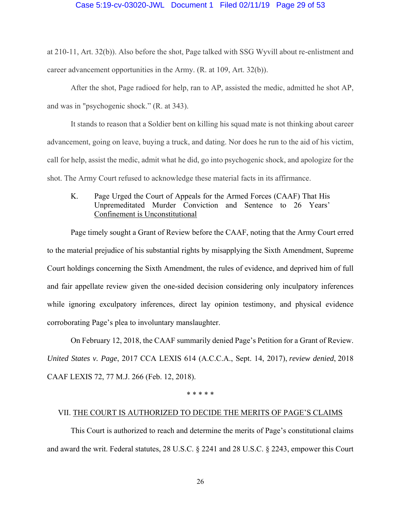# Case 5:19-cv-03020-JWL Document 1 Filed 02/11/19 Page 29 of 53

at 210-11, Art. 32(b)). Also before the shot, Page talked with SSG Wyvill about re-enlistment and career advancement opportunities in the Army. (R. at 109, Art. 32(b)).

 After the shot, Page radioed for help, ran to AP, assisted the medic, admitted he shot AP, and was in "psychogenic shock." (R. at 343).

 It stands to reason that a Soldier bent on killing his squad mate is not thinking about career advancement, going on leave, buying a truck, and dating. Nor does he run to the aid of his victim, call for help, assist the medic, admit what he did, go into psychogenic shock, and apologize for the shot. The Army Court refused to acknowledge these material facts in its affirmance.

# K. Page Urged the Court of Appeals for the Armed Forces (CAAF) That His Unpremeditated Murder Conviction and Sentence to 26 Years' Confinement is Unconstitutional

 Page timely sought a Grant of Review before the CAAF, noting that the Army Court erred to the material prejudice of his substantial rights by misapplying the Sixth Amendment, Supreme Court holdings concerning the Sixth Amendment, the rules of evidence, and deprived him of full and fair appellate review given the one-sided decision considering only inculpatory inferences while ignoring exculpatory inferences, direct lay opinion testimony, and physical evidence corroborating Page's plea to involuntary manslaughter.

 On February 12, 2018, the CAAF summarily denied Page's Petition for a Grant of Review. *United States v. Page*, 2017 CCA LEXIS 614 (A.C.C.A., Sept. 14, 2017), *review denied*, 2018 CAAF LEXIS 72, 77 M.J. 266 (Feb. 12, 2018).

\* \* \* \* \*

# VII. THE COURT IS AUTHORIZED TO DECIDE THE MERITS OF PAGE'S CLAIMS

This Court is authorized to reach and determine the merits of Page's constitutional claims and award the writ. Federal statutes, 28 U.S.C. § 2241 and 28 U.S.C. § 2243, empower this Court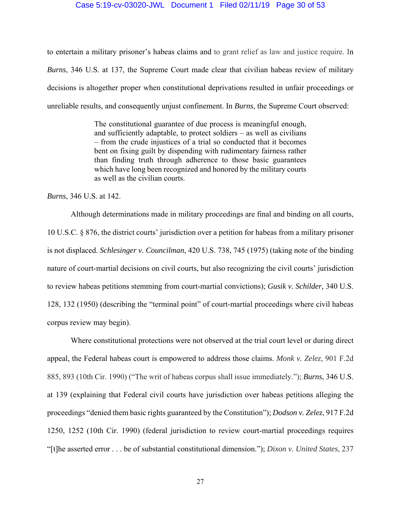## Case 5:19-cv-03020-JWL Document 1 Filed 02/11/19 Page 30 of 53

to entertain a military prisoner's habeas claims and to grant relief as law and justice require. In *Burns*, 346 U.S. at 137, the Supreme Court made clear that civilian habeas review of military decisions is altogether proper when constitutional deprivations resulted in unfair proceedings or unreliable results, and consequently unjust confinement. In *Burns*, the Supreme Court observed:

> The constitutional guarantee of due process is meaningful enough, and sufficiently adaptable, to protect soldiers – as well as civilians – from the crude injustices of a trial so conducted that it becomes bent on fixing guilt by dispending with rudimentary fairness rather than finding truth through adherence to those basic guarantees which have long been recognized and honored by the military courts as well as the civilian courts.

*Burns*, 346 U.S. at 142.

 Although determinations made in military proceedings are final and binding on all courts, 10 U.S.C. § 876, the district courts' jurisdiction over a petition for habeas from a military prisoner is not displaced. *Schlesinger v. Councilman*, 420 U.S. 738, 745 (1975) (taking note of the binding nature of court-martial decisions on civil courts, but also recognizing the civil courts' jurisdiction to review habeas petitions stemming from court-martial convictions); *Gusik v. Schilder,* 340 U.S. 128, 132 (1950) (describing the "terminal point" of court-martial proceedings where civil habeas corpus review may begin).

Where constitutional protections were not observed at the trial court level or during direct appeal, the Federal habeas court is empowered to address those claims. *Monk v. Zelez*, 901 F.2d 885, 893 (10th Cir. 1990) ("The writ of habeas corpus shall issue immediately."); *Burns*, 346 U.S. at 139 (explaining that Federal civil courts have jurisdiction over habeas petitions alleging the proceedings "denied them basic rights guaranteed by the Constitution"); *Dodson v. Zelez*, 917 F.2d 1250, 1252 (10th Cir. 1990) (federal jurisdiction to review court-martial proceedings requires "[t]he asserted error . . . be of substantial constitutional dimension."); *Dixon v. United States*, 237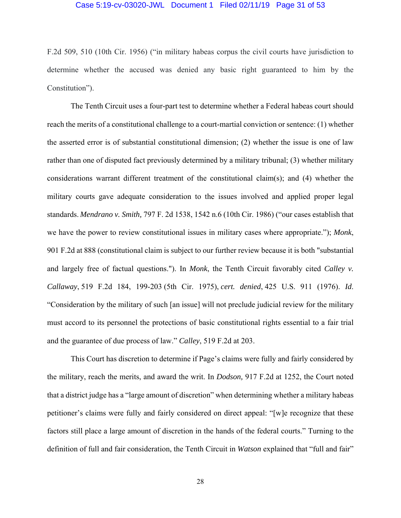#### Case 5:19-cv-03020-JWL Document 1 Filed 02/11/19 Page 31 of 53

F.2d 509, 510 (10th Cir. 1956) ("in military habeas corpus the civil courts have jurisdiction to determine whether the accused was denied any basic right guaranteed to him by the Constitution").

 The Tenth Circuit uses a four-part test to determine whether a Federal habeas court should reach the merits of a constitutional challenge to a court-martial conviction or sentence: (1) whether the asserted error is of substantial constitutional dimension; (2) whether the issue is one of law rather than one of disputed fact previously determined by a military tribunal; (3) whether military considerations warrant different treatment of the constitutional claim(s); and (4) whether the military courts gave adequate consideration to the issues involved and applied proper legal standards. *Mendrano v. Smith,* 797 F. 2d 1538, 1542 n.6 (10th Cir. 1986) ("our cases establish that we have the power to review constitutional issues in military cases where appropriate."); *Monk*, 901 F.2d at 888 (constitutional claim is subject to our further review because it is both "substantial and largely free of factual questions."). In *Monk*, the Tenth Circuit favorably cited *Calley v. Callaway*, 519 F.2d 184, 199-203 (5th Cir. 1975), *cert. denied*, 425 U.S. 911 (1976). *Id*. "Consideration by the military of such [an issue] will not preclude judicial review for the military must accord to its personnel the protections of basic constitutional rights essential to a fair trial and the guarantee of due process of law." *Calley*, 519 F.2d at 203.

 This Court has discretion to determine if Page's claims were fully and fairly considered by the military, reach the merits, and award the writ. In *Dodson,* 917 F.2d at 1252, the Court noted that a district judge has a "large amount of discretion" when determining whether a military habeas petitioner's claims were fully and fairly considered on direct appeal: "[w]e recognize that these factors still place a large amount of discretion in the hands of the federal courts." Turning to the definition of full and fair consideration, the Tenth Circuit in *Watson* explained that "full and fair"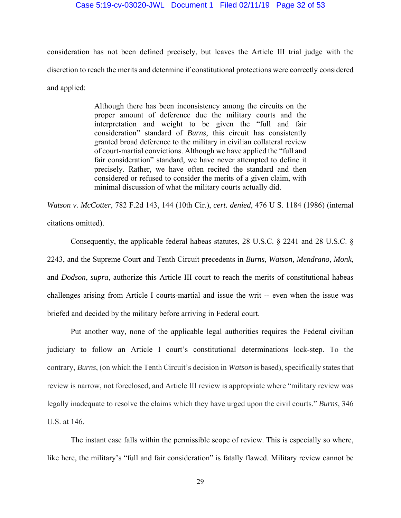consideration has not been defined precisely, but leaves the Article III trial judge with the discretion to reach the merits and determine if constitutional protections were correctly considered and applied:

> Although there has been inconsistency among the circuits on the proper amount of deference due the military courts and the interpretation and weight to be given the "full and fair consideration" standard of *Burns*, this circuit has consistently granted broad deference to the military in civilian collateral review of court-martial convictions. Although we have applied the "full and fair consideration" standard, we have never attempted to define it precisely. Rather, we have often recited the standard and then considered or refused to consider the merits of a given claim, with minimal discussion of what the military courts actually did.

*Watson v. McCotter*, 782 F.2d 143, 144 (10th Cir.), *cert. denied*, 476 U S. 1184 (1986) (internal citations omitted).

 Consequently, the applicable federal habeas statutes, 28 U.S.C. § 2241 and 28 U.S.C. § 2243, and the Supreme Court and Tenth Circuit precedents in *Burns*, *Watson, Mendrano*, *Monk*, and *Dodson*, *supra*, authorize this Article III court to reach the merits of constitutional habeas challenges arising from Article I courts-martial and issue the writ -- even when the issue was briefed and decided by the military before arriving in Federal court.

 Put another way, none of the applicable legal authorities requires the Federal civilian judiciary to follow an Article I court's constitutional determinations lock-step. To the contrary, *Burns*, (on which the Tenth Circuit's decision in *Watson* is based), specifically states that review is narrow, not foreclosed, and Article III review is appropriate where "military review was legally inadequate to resolve the claims which they have urged upon the civil courts." *Burns*, 346 U.S. at 146.

 The instant case falls within the permissible scope of review. This is especially so where, like here, the military's "full and fair consideration" is fatally flawed. Military review cannot be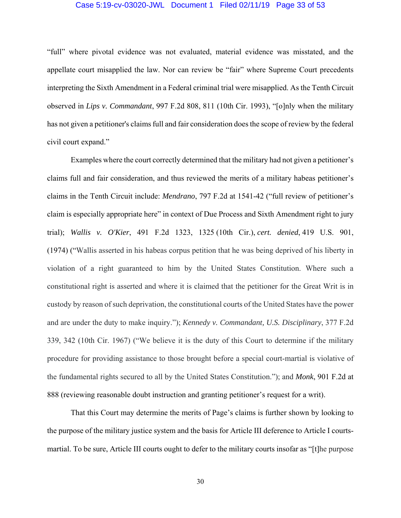#### Case 5:19-cv-03020-JWL Document 1 Filed 02/11/19 Page 33 of 53

"full" where pivotal evidence was not evaluated, material evidence was misstated, and the appellate court misapplied the law. Nor can review be "fair" where Supreme Court precedents interpreting the Sixth Amendment in a Federal criminal trial were misapplied. As the Tenth Circuit observed in *Lips v. Commandant*, 997 F.2d 808, 811 (10th Cir. 1993), "[o]nly when the military has not given a petitioner's claims full and fair consideration does the scope of review by the federal civil court expand."

 Examples where the court correctly determined that the military had not given a petitioner's claims full and fair consideration, and thus reviewed the merits of a military habeas petitioner's claims in the Tenth Circuit include: *Mendrano*, 797 F.2d at 1541-42 ("full review of petitioner's claim is especially appropriate here" in context of Due Process and Sixth Amendment right to jury trial); *Wallis v. O'Kier*, 491 F.2d 1323, 1325 (10th Cir.), *cert. denied*, 419 U.S. 901, (1974) ("Wallis asserted in his habeas corpus petition that he was being deprived of his liberty in violation of a right guaranteed to him by the United States Constitution. Where such a constitutional right is asserted and where it is claimed that the petitioner for the Great Writ is in custody by reason of such deprivation, the constitutional courts of the United States have the power and are under the duty to make inquiry."); *Kennedy v. Commandant, U.S. Disciplinary*, 377 F.2d 339, 342 (10th Cir. 1967) ("We believe it is the duty of this Court to determine if the military procedure for providing assistance to those brought before a special court-martial is violative of the fundamental rights secured to all by the United States Constitution."); and *Monk*, 901 F.2d at 888 (reviewing reasonable doubt instruction and granting petitioner's request for a writ).

 That this Court may determine the merits of Page's claims is further shown by looking to the purpose of the military justice system and the basis for Article III deference to Article I courtsmartial. To be sure, Article III courts ought to defer to the military courts insofar as "[t]he purpose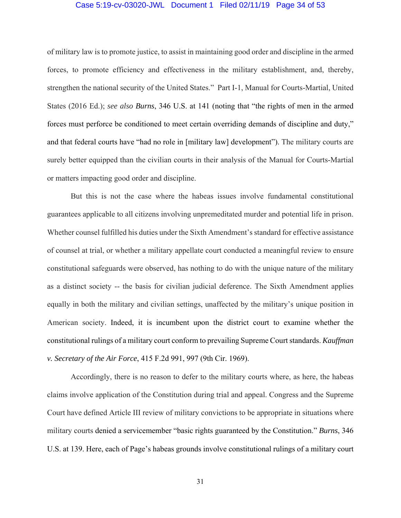#### Case 5:19-cv-03020-JWL Document 1 Filed 02/11/19 Page 34 of 53

of military law is to promote justice, to assist in maintaining good order and discipline in the armed forces, to promote efficiency and effectiveness in the military establishment, and, thereby, strengthen the national security of the United States." Part I-1, Manual for Courts-Martial, United States (2016 Ed.); *see also Burns*, 346 U.S. at 141 (noting that "the rights of men in the armed forces must perforce be conditioned to meet certain overriding demands of discipline and duty," and that federal courts have "had no role in [military law] development"). The military courts are surely better equipped than the civilian courts in their analysis of the Manual for Courts-Martial or matters impacting good order and discipline.

 But this is not the case where the habeas issues involve fundamental constitutional guarantees applicable to all citizens involving unpremeditated murder and potential life in prison. Whether counsel fulfilled his duties under the Sixth Amendment's standard for effective assistance of counsel at trial, or whether a military appellate court conducted a meaningful review to ensure constitutional safeguards were observed, has nothing to do with the unique nature of the military as a distinct society -- the basis for civilian judicial deference. The Sixth Amendment applies equally in both the military and civilian settings, unaffected by the military's unique position in American society. Indeed, it is incumbent upon the district court to examine whether the constitutional rulings of a military court conform to prevailing Supreme Court standards. *Kauffman v. Secretary of the Air Force*, 415 F.2d 991, 997 (9th Cir. 1969).

 Accordingly, there is no reason to defer to the military courts where, as here, the habeas claims involve application of the Constitution during trial and appeal. Congress and the Supreme Court have defined Article III review of military convictions to be appropriate in situations where military courts denied a servicemember "basic rights guaranteed by the Constitution." *Burns*, 346 U.S. at 139. Here, each of Page's habeas grounds involve constitutional rulings of a military court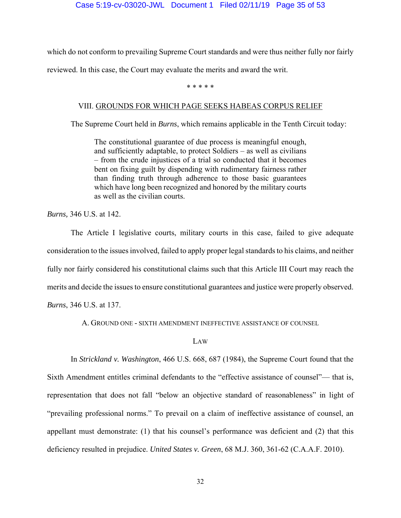which do not conform to prevailing Supreme Court standards and were thus neither fully nor fairly

reviewed. In this case, the Court may evaluate the merits and award the writ.

\* \* \* \* \*

# VIII. GROUNDS FOR WHICH PAGE SEEKS HABEAS CORPUS RELIEF

The Supreme Court held in *Burns*, which remains applicable in the Tenth Circuit today:

The constitutional guarantee of due process is meaningful enough, and sufficiently adaptable, to protect Soldiers – as well as civilians – from the crude injustices of a trial so conducted that it becomes bent on fixing guilt by dispending with rudimentary fairness rather than finding truth through adherence to those basic guarantees which have long been recognized and honored by the military courts as well as the civilian courts.

*Burns,* 346 U.S. at 142.

The Article I legislative courts, military courts in this case, failed to give adequate consideration to the issues involved, failed to apply proper legal standards to his claims, and neither fully nor fairly considered his constitutional claims such that this Article III Court may reach the merits and decide the issues to ensure constitutional guarantees and justice were properly observed. *Burns*, 346 U.S. at 137.

A. GROUND ONE - SIXTH AMENDMENT INEFFECTIVE ASSISTANCE OF COUNSEL

# LAW

In *Strickland v. Washington*, 466 U.S. 668, 687 (1984), the Supreme Court found that the Sixth Amendment entitles criminal defendants to the "effective assistance of counsel"— that is, representation that does not fall "below an objective standard of reasonableness" in light of "prevailing professional norms." To prevail on a claim of ineffective assistance of counsel, an appellant must demonstrate: (1) that his counsel's performance was deficient and (2) that this deficiency resulted in prejudice. *United States v. Green*, 68 M.J. 360, 361-62 (C.A.A.F. 2010).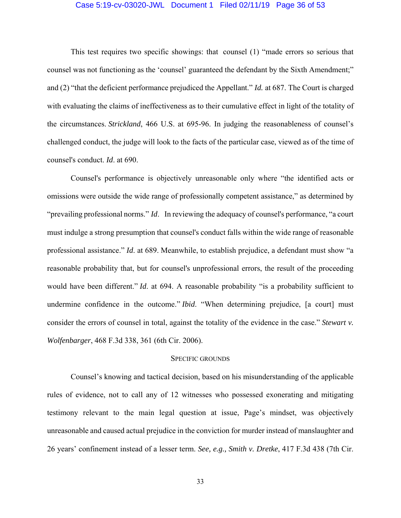#### Case 5:19-cv-03020-JWL Document 1 Filed 02/11/19 Page 36 of 53

This test requires two specific showings: that counsel (1) "made errors so serious that counsel was not functioning as the 'counsel' guaranteed the defendant by the Sixth Amendment;" and (2) "that the deficient performance prejudiced the Appellant." *Id.* at 687. The Court is charged with evaluating the claims of ineffectiveness as to their cumulative effect in light of the totality of the circumstances. *Strickland*, 466 U.S. at 695-96. In judging the reasonableness of counsel's challenged conduct, the judge will look to the facts of the particular case, viewed as of the time of counsel's conduct. *Id*. at 690.

Counsel's performance is objectively unreasonable only where "the identified acts or omissions were outside the wide range of professionally competent assistance," as determined by "prevailing professional norms." *Id*. In reviewing the adequacy of counsel's performance, "a court must indulge a strong presumption that counsel's conduct falls within the wide range of reasonable professional assistance." *Id*. at 689. Meanwhile, to establish prejudice, a defendant must show "a reasonable probability that, but for counsel's unprofessional errors, the result of the proceeding would have been different." *Id.* at 694. A reasonable probability "is a probability sufficient to undermine confidence in the outcome." *Ibid*. "When determining prejudice, [a court] must consider the errors of counsel in total, against the totality of the evidence in the case." *Stewart v. Wolfenbarger*, 468 F.3d 338, 361 (6th Cir. 2006).

# SPECIFIC GROUNDS

 Counsel's knowing and tactical decision, based on his misunderstanding of the applicable rules of evidence, not to call any of 12 witnesses who possessed exonerating and mitigating testimony relevant to the main legal question at issue, Page's mindset, was objectively unreasonable and caused actual prejudice in the conviction for murder instead of manslaughter and 26 years' confinement instead of a lesser term. *See, e.g., Smith v. Dretke*, 417 F.3d 438 (7th Cir.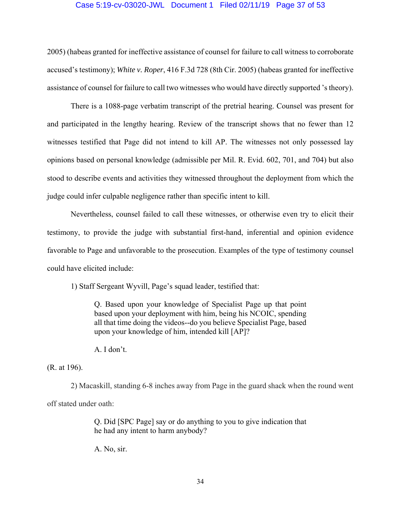## Case 5:19-cv-03020-JWL Document 1 Filed 02/11/19 Page 37 of 53

2005) (habeas granted for ineffective assistance of counsel for failure to call witness to corroborate accused's testimony); *White v. Roper*, 416 F.3d 728 (8th Cir. 2005) (habeas granted for ineffective assistance of counsel for failure to call two witnesses who would have directly supported 's theory).

 There is a 1088-page verbatim transcript of the pretrial hearing. Counsel was present for and participated in the lengthy hearing. Review of the transcript shows that no fewer than 12 witnesses testified that Page did not intend to kill AP. The witnesses not only possessed lay opinions based on personal knowledge (admissible per Mil. R. Evid. 602, 701, and 704) but also stood to describe events and activities they witnessed throughout the deployment from which the judge could infer culpable negligence rather than specific intent to kill.

 Nevertheless, counsel failed to call these witnesses, or otherwise even try to elicit their testimony, to provide the judge with substantial first-hand, inferential and opinion evidence favorable to Page and unfavorable to the prosecution. Examples of the type of testimony counsel could have elicited include:

1) Staff Sergeant Wyvill, Page's squad leader, testified that:

Q. Based upon your knowledge of Specialist Page up that point based upon your deployment with him, being his NCOIC, spending all that time doing the videos--do you believe Specialist Page, based upon your knowledge of him, intended kill [AP]?

A. I don't.

(R. at 196).

 2) Macaskill, standing 6-8 inches away from Page in the guard shack when the round went off stated under oath:

> Q. Did [SPC Page] say or do anything to you to give indication that he had any intent to harm anybody?

A. No, sir.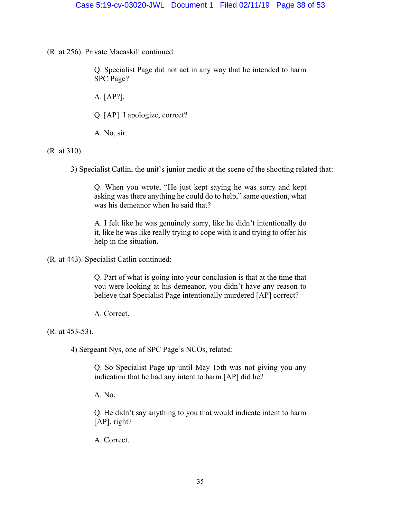(R. at 256). Private Macaskill continued:

Q. Specialist Page did not act in any way that he intended to harm SPC Page?

A. [AP?].

Q. [AP]. I apologize, correct?

A. No, sir.

(R. at 310).

3) Specialist Catlin, the unit's junior medic at the scene of the shooting related that:

Q. When you wrote, "He just kept saying he was sorry and kept asking was there anything he could do to help," same question, what was his demeanor when he said that?

A. I felt like he was genuinely sorry, like he didn't intentionally do it, like he was like really trying to cope with it and trying to offer his help in the situation.

(R. at 443). Specialist Catlin continued:

Q. Part of what is going into your conclusion is that at the time that you were looking at his demeanor, you didn't have any reason to believe that Specialist Page intentionally murdered [AP] correct?

A. Correct.

(R. at 453-53).

4) Sergeant Nys, one of SPC Page's NCOs, related:

Q. So Specialist Page up until May 15th was not giving you any indication that he had any intent to harm [AP] did he?

A. No.

Q. He didn't say anything to you that would indicate intent to harm [AP], right?

A. Correct.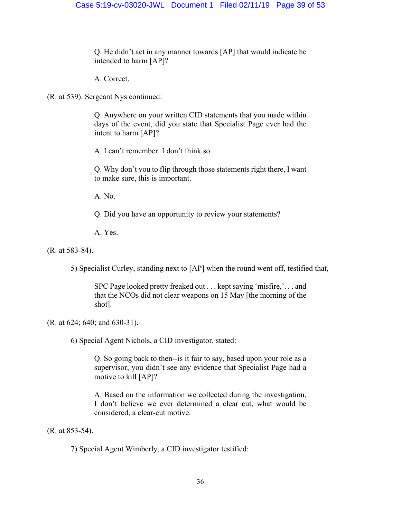Q. He didn't act in any manner towards [AP] that would indicate he intended to harm [AP]?

A. Correct.

(R. at 539). Sergeant Nys continued:

Q. Anywhere on your written CID statements that you made within days of the event, did you state that Specialist Page ever had the intent to harm [AP]?

A. I can't remember. I don't think so.

Q. Why don't you to flip through those statements right there, I want to make sure, this is important.

A. No.

Q. Did you have an opportunity to review your statements?

A. Yes.

(R. at 583-84).

5) Specialist Curley, standing next to [AP] when the round went off, testified that,

SPC Page looked pretty freaked out . . . kept saying 'misfire,'. . . and that the NCOs did not clear weapons on 15 May [the morning of the shot].

(R. at 624; 640; and 630-31).

6) Special Agent Nichols, a CID investigator, stated:

Q. So going back to then--is it fair to say, based upon your role as a supervisor, you didn't see any evidence that Specialist Page had a motive to kill [AP]?

A. Based on the information we collected during the investigation, I don't believe we ever determined a clear cut, what would be considered, a clear-cut motive.

(R. at 853-54).

7) Special Agent Wimberly, a CID investigator testified: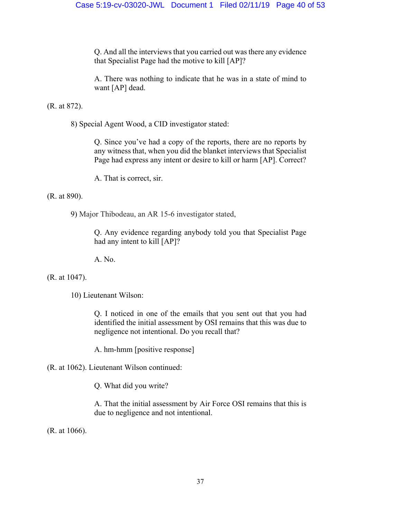Q. And all the interviews that you carried out was there any evidence that Specialist Page had the motive to kill [AP]?

A. There was nothing to indicate that he was in a state of mind to want [AP] dead.

(R. at 872).

8) Special Agent Wood, a CID investigator stated:

Q. Since you've had a copy of the reports, there are no reports by any witness that, when you did the blanket interviews that Specialist Page had express any intent or desire to kill or harm [AP]. Correct?

A. That is correct, sir.

(R. at 890).

9) Major Thibodeau, an AR 15-6 investigator stated,

Q. Any evidence regarding anybody told you that Specialist Page had any intent to kill [AP]?

A. No.

(R. at 1047).

10) Lieutenant Wilson:

Q. I noticed in one of the emails that you sent out that you had identified the initial assessment by OSI remains that this was due to negligence not intentional. Do you recall that?

A. hm-hmm [positive response]

(R. at 1062). Lieutenant Wilson continued:

Q. What did you write?

A. That the initial assessment by Air Force OSI remains that this is due to negligence and not intentional.

(R. at 1066).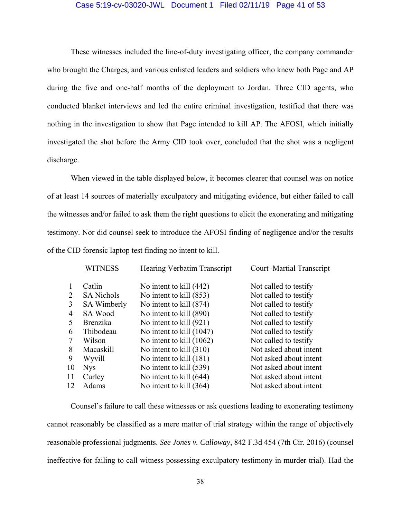## Case 5:19-cv-03020-JWL Document 1 Filed 02/11/19 Page 41 of 53

 These witnesses included the line-of-duty investigating officer, the company commander who brought the Charges, and various enlisted leaders and soldiers who knew both Page and AP during the five and one-half months of the deployment to Jordan. Three CID agents, who conducted blanket interviews and led the entire criminal investigation, testified that there was nothing in the investigation to show that Page intended to kill AP. The AFOSI, which initially investigated the shot before the Army CID took over, concluded that the shot was a negligent discharge.

 When viewed in the table displayed below, it becomes clearer that counsel was on notice of at least 14 sources of materially exculpatory and mitigating evidence, but either failed to call the witnesses and/or failed to ask them the right questions to elicit the exonerating and mitigating testimony. Nor did counsel seek to introduce the AFOSI finding of negligence and/or the results of the CID forensic laptop test finding no intent to kill.

|                | <b>WITNESS</b>     | <b>Hearing Verbatim Transcript</b> | Court-Martial Transcript |
|----------------|--------------------|------------------------------------|--------------------------|
|                | Catlin             | No intent to kill (442)            | Not called to testify    |
| 2              | <b>SA Nichols</b>  | No intent to kill (853)            | Not called to testify    |
| 3              | <b>SA Wimberly</b> | No intent to kill (874)            | Not called to testify    |
| $\overline{4}$ | SA Wood            | No intent to kill (890)            | Not called to testify    |
| 5              | <b>Brenzika</b>    | No intent to kill (921)            | Not called to testify    |
| 6              | Thibodeau          | No intent to kill (1047)           | Not called to testify    |
|                | Wilson             | No intent to kill (1062)           | Not called to testify    |
| 8              | Macaskill          | No intent to kill $(310)$          | Not asked about intent   |
| 9              | Wyvill             | No intent to kill (181)            | Not asked about intent   |
| 10             | <b>Nys</b>         | No intent to kill $(539)$          | Not asked about intent   |
| 11             | Curley             | No intent to kill (644)            | Not asked about intent   |
| 12             | Adams              | No intent to kill (364)            | Not asked about intent   |

 Counsel's failure to call these witnesses or ask questions leading to exonerating testimony cannot reasonably be classified as a mere matter of trial strategy within the range of objectively reasonable professional judgments. *See Jones v. Calloway*, 842 F.3d 454 (7th Cir. 2016) (counsel ineffective for failing to call witness possessing exculpatory testimony in murder trial). Had the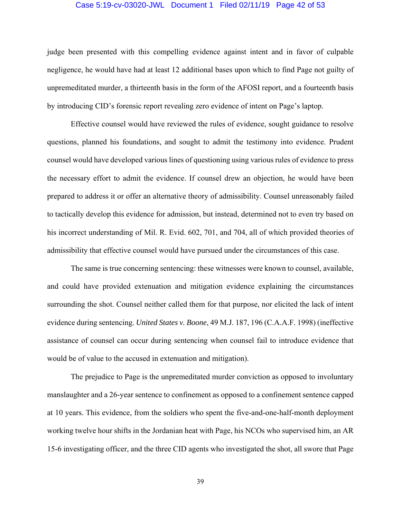# Case 5:19-cv-03020-JWL Document 1 Filed 02/11/19 Page 42 of 53

judge been presented with this compelling evidence against intent and in favor of culpable negligence, he would have had at least 12 additional bases upon which to find Page not guilty of unpremeditated murder, a thirteenth basis in the form of the AFOSI report, and a fourteenth basis by introducing CID's forensic report revealing zero evidence of intent on Page's laptop.

 Effective counsel would have reviewed the rules of evidence, sought guidance to resolve questions, planned his foundations, and sought to admit the testimony into evidence. Prudent counsel would have developed various lines of questioning using various rules of evidence to press the necessary effort to admit the evidence. If counsel drew an objection, he would have been prepared to address it or offer an alternative theory of admissibility. Counsel unreasonably failed to tactically develop this evidence for admission, but instead, determined not to even try based on his incorrect understanding of Mil. R. Evid. 602, 701, and 704, all of which provided theories of admissibility that effective counsel would have pursued under the circumstances of this case.

 The same is true concerning sentencing: these witnesses were known to counsel, available, and could have provided extenuation and mitigation evidence explaining the circumstances surrounding the shot. Counsel neither called them for that purpose, nor elicited the lack of intent evidence during sentencing. *United States v. Boone*, 49 M.J. 187, 196 (C.A.A.F. 1998) (ineffective assistance of counsel can occur during sentencing when counsel fail to introduce evidence that would be of value to the accused in extenuation and mitigation).

 The prejudice to Page is the unpremeditated murder conviction as opposed to involuntary manslaughter and a 26-year sentence to confinement as opposed to a confinement sentence capped at 10 years. This evidence, from the soldiers who spent the five-and-one-half-month deployment working twelve hour shifts in the Jordanian heat with Page, his NCOs who supervised him, an AR 15-6 investigating officer, and the three CID agents who investigated the shot, all swore that Page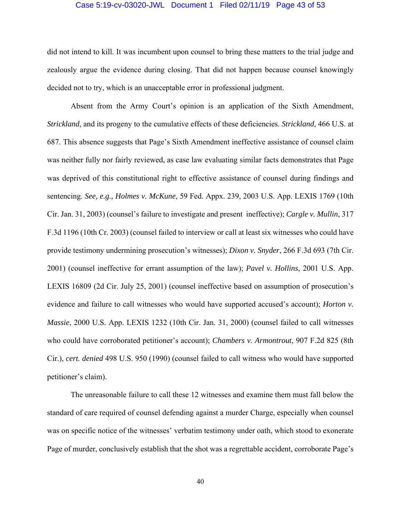#### Case 5:19-cv-03020-JWL Document 1 Filed 02/11/19 Page 43 of 53

did not intend to kill. It was incumbent upon counsel to bring these matters to the trial judge and zealously argue the evidence during closing. That did not happen because counsel knowingly decided not to try, which is an unacceptable error in professional judgment.

 Absent from the Army Court's opinion is an application of the Sixth Amendment, *Strickland*, and its progeny to the cumulative effects of these deficiencies. *Strickland*, 466 U.S. at 687. This absence suggests that Page's Sixth Amendment ineffective assistance of counsel claim was neither fully nor fairly reviewed, as case law evaluating similar facts demonstrates that Page was deprived of this constitutional right to effective assistance of counsel during findings and sentencing. *See, e.g., Holmes v. McKune*, 59 Fed. Appx. 239, 2003 U.S. App. LEXIS 1769 (10th Cir. Jan. 31, 2003) (counsel's failure to investigate and present ineffective); *Cargle v. Mullin*, 317 F.3d 1196 (10th Cr. 2003) (counsel failed to interview or call at least six witnesses who could have provide testimony undermining prosecution's witnesses); *Dixon v. Snyder*, 266 F.3d 693 (7th Cir. 2001) (counsel ineffective for errant assumption of the law); *Pavel v. Hollins*, 2001 U.S. App. LEXIS 16809 (2d Cir. July 25, 2001) (counsel ineffective based on assumption of prosecution's evidence and failure to call witnesses who would have supported accused's account); *Horton v. Massie*, 2000 U.S. App. LEXIS 1232 (10th Cir. Jan. 31, 2000) (counsel failed to call witnesses who could have corroborated petitioner's account); *Chambers v. Armontrout*, 907 F.2d 825 (8th Cir.), *cert. denied* 498 U.S. 950 (1990) (counsel failed to call witness who would have supported petitioner's claim).

 The unreasonable failure to call these 12 witnesses and examine them must fall below the standard of care required of counsel defending against a murder Charge, especially when counsel was on specific notice of the witnesses' verbatim testimony under oath, which stood to exonerate Page of murder, conclusively establish that the shot was a regrettable accident, corroborate Page's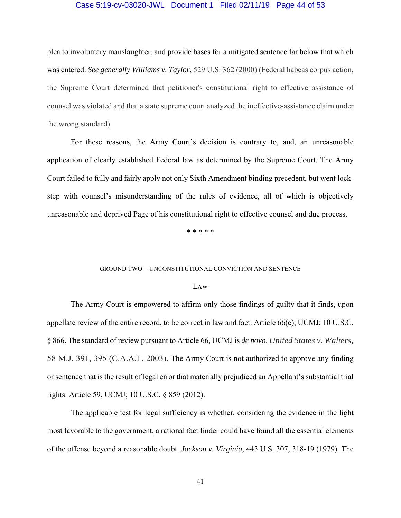#### Case 5:19-cv-03020-JWL Document 1 Filed 02/11/19 Page 44 of 53

plea to involuntary manslaughter, and provide bases for a mitigated sentence far below that which was entered. *See generally Williams v. Taylor*, 529 U.S. 362 (2000) (Federal habeas corpus action, the Supreme Court determined that petitioner's constitutional right to effective assistance of counsel was violated and that a state supreme court analyzed the ineffective-assistance claim under the wrong standard).

 For these reasons, the Army Court's decision is contrary to, and, an unreasonable application of clearly established Federal law as determined by the Supreme Court. The Army Court failed to fully and fairly apply not only Sixth Amendment binding precedent, but went lockstep with counsel's misunderstanding of the rules of evidence, all of which is objectively unreasonable and deprived Page of his constitutional right to effective counsel and due process.

\* \* \* \* \*

#### GROUND TWO – UNCONSTITUTIONAL CONVICTION AND SENTENCE

#### LAW

 The Army Court is empowered to affirm only those findings of guilty that it finds, upon appellate review of the entire record, to be correct in law and fact. Article 66(c), UCMJ; 10 U.S.C. § 866. The standard of review pursuant to Article 66, UCMJ is *de novo*. *United States v. Walters,*  58 M.J. 391, 395 (C.A.A.F. 2003). The Army Court is not authorized to approve any finding or sentence that is the result of legal error that materially prejudiced an Appellant's substantial trial rights. Article 59, UCMJ; 10 U.S.C. § 859 (2012).

 The applicable test for legal sufficiency is whether, considering the evidence in the light most favorable to the government, a rational fact finder could have found all the essential elements of the offense beyond a reasonable doubt. *Jackson v. Virginia,* 443 U.S. 307, 318-19 (1979). The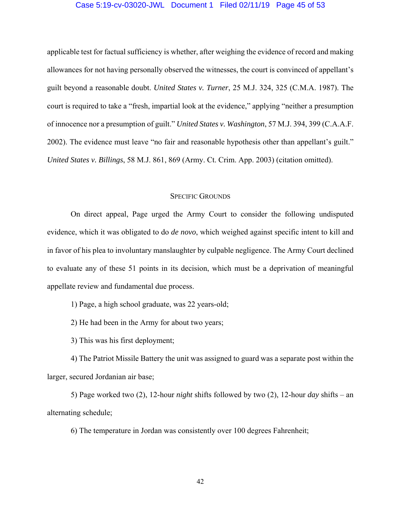## Case 5:19-cv-03020-JWL Document 1 Filed 02/11/19 Page 45 of 53

applicable test for factual sufficiency is whether, after weighing the evidence of record and making allowances for not having personally observed the witnesses, the court is convinced of appellant's guilt beyond a reasonable doubt. *United States v. Turner*, 25 M.J. 324, 325 (C.M.A. 1987). The court is required to take a "fresh, impartial look at the evidence," applying "neither a presumption of innocence nor a presumption of guilt." *United States v. Washington*, 57 M.J. 394, 399 (C.A.A.F. 2002). The evidence must leave "no fair and reasonable hypothesis other than appellant's guilt." *United States v. Billings*, 58 M.J. 861, 869 (Army. Ct. Crim. App. 2003) (citation omitted).

# SPECIFIC GROUNDS

 On direct appeal, Page urged the Army Court to consider the following undisputed evidence, which it was obligated to do *de novo*, which weighed against specific intent to kill and in favor of his plea to involuntary manslaughter by culpable negligence. The Army Court declined to evaluate any of these 51 points in its decision, which must be a deprivation of meaningful appellate review and fundamental due process.

1) Page, a high school graduate, was 22 years-old;

2) He had been in the Army for about two years;

3) This was his first deployment;

 4) The Patriot Missile Battery the unit was assigned to guard was a separate post within the larger, secured Jordanian air base;

 5) Page worked two (2), 12-hour *night* shifts followed by two (2), 12-hour *day* shifts – an alternating schedule;

6) The temperature in Jordan was consistently over 100 degrees Fahrenheit;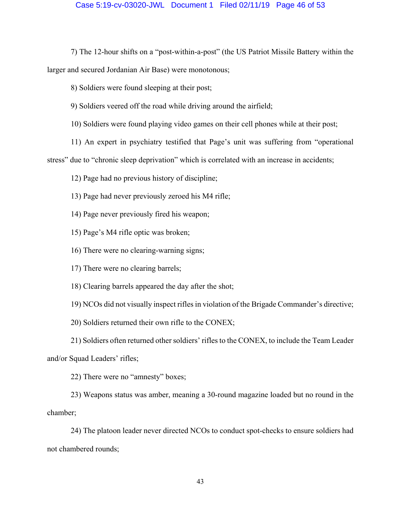## Case 5:19-cv-03020-JWL Document 1 Filed 02/11/19 Page 46 of 53

 7) The 12-hour shifts on a "post-within-a-post" (the US Patriot Missile Battery within the larger and secured Jordanian Air Base) were monotonous;

8) Soldiers were found sleeping at their post;

9) Soldiers veered off the road while driving around the airfield;

10) Soldiers were found playing video games on their cell phones while at their post;

11) An expert in psychiatry testified that Page's unit was suffering from "operational

stress" due to "chronic sleep deprivation" which is correlated with an increase in accidents;

12) Page had no previous history of discipline;

13) Page had never previously zeroed his M4 rifle;

14) Page never previously fired his weapon;

15) Page's M4 rifle optic was broken;

16) There were no clearing-warning signs;

17) There were no clearing barrels;

18) Clearing barrels appeared the day after the shot;

19) NCOs did not visually inspect rifles in violation of the Brigade Commander's directive;

20) Soldiers returned their own rifle to the CONEX;

 21) Soldiers often returned other soldiers' rifles to the CONEX, to include the Team Leader and/or Squad Leaders' rifles;

22) There were no "amnesty" boxes;

 23) Weapons status was amber, meaning a 30-round magazine loaded but no round in the chamber;

 24) The platoon leader never directed NCOs to conduct spot-checks to ensure soldiers had not chambered rounds;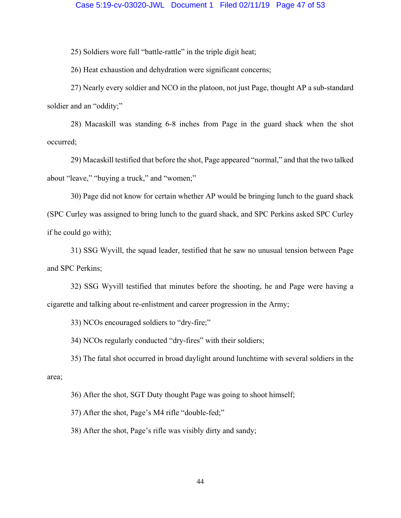25) Soldiers wore full "battle-rattle" in the triple digit heat;

26) Heat exhaustion and dehydration were significant concerns;

 27) Nearly every soldier and NCO in the platoon, not just Page, thought AP a sub-standard soldier and an "oddity;"

 28) Macaskill was standing 6-8 inches from Page in the guard shack when the shot occurred;

 29) Macaskill testified that before the shot, Page appeared "normal," and that the two talked about "leave," "buying a truck," and "women;"

 30) Page did not know for certain whether AP would be bringing lunch to the guard shack (SPC Curley was assigned to bring lunch to the guard shack, and SPC Perkins asked SPC Curley if he could go with);

 31) SSG Wyvill, the squad leader, testified that he saw no unusual tension between Page and SPC Perkins;

 32) SSG Wyvill testified that minutes before the shooting, he and Page were having a cigarette and talking about re-enlistment and career progression in the Army;

33) NCOs encouraged soldiers to "dry-fire;"

34) NCOs regularly conducted "dry-fires" with their soldiers;

 35) The fatal shot occurred in broad daylight around lunchtime with several soldiers in the area;

36) After the shot, SGT Duty thought Page was going to shoot himself;

37) After the shot, Page's M4 rifle "double-fed;"

38) After the shot, Page's rifle was visibly dirty and sandy;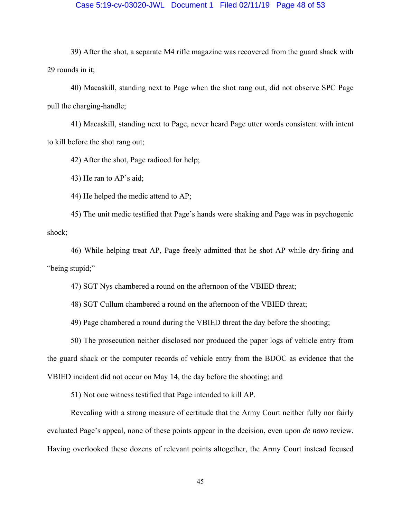### Case 5:19-cv-03020-JWL Document 1 Filed 02/11/19 Page 48 of 53

 39) After the shot, a separate M4 rifle magazine was recovered from the guard shack with 29 rounds in it;

 40) Macaskill, standing next to Page when the shot rang out, did not observe SPC Page pull the charging-handle;

 41) Macaskill, standing next to Page, never heard Page utter words consistent with intent to kill before the shot rang out;

42) After the shot, Page radioed for help;

43) He ran to AP's aid;

44) He helped the medic attend to AP;

 45) The unit medic testified that Page's hands were shaking and Page was in psychogenic shock;

 46) While helping treat AP, Page freely admitted that he shot AP while dry-firing and "being stupid;"

47) SGT Nys chambered a round on the afternoon of the VBIED threat;

48) SGT Cullum chambered a round on the afternoon of the VBIED threat;

49) Page chambered a round during the VBIED threat the day before the shooting;

 50) The prosecution neither disclosed nor produced the paper logs of vehicle entry from the guard shack or the computer records of vehicle entry from the BDOC as evidence that the VBIED incident did not occur on May 14, the day before the shooting; and

51) Not one witness testified that Page intended to kill AP.

 Revealing with a strong measure of certitude that the Army Court neither fully nor fairly evaluated Page's appeal, none of these points appear in the decision, even upon *de novo* review. Having overlooked these dozens of relevant points altogether, the Army Court instead focused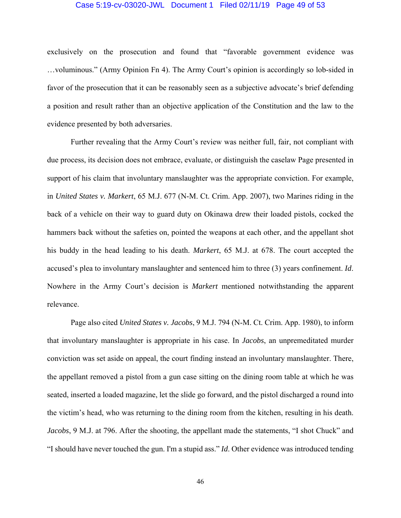#### Case 5:19-cv-03020-JWL Document 1 Filed 02/11/19 Page 49 of 53

exclusively on the prosecution and found that "favorable government evidence was …voluminous." (Army Opinion Fn 4). The Army Court's opinion is accordingly so lob-sided in favor of the prosecution that it can be reasonably seen as a subjective advocate's brief defending a position and result rather than an objective application of the Constitution and the law to the evidence presented by both adversaries.

 Further revealing that the Army Court's review was neither full, fair, not compliant with due process, its decision does not embrace, evaluate, or distinguish the caselaw Page presented in support of his claim that involuntary manslaughter was the appropriate conviction. For example, in *United States v. Markert*, 65 M.J. 677 (N-M. Ct. Crim. App. 2007), two Marines riding in the back of a vehicle on their way to guard duty on Okinawa drew their loaded pistols, cocked the hammers back without the safeties on, pointed the weapons at each other, and the appellant shot his buddy in the head leading to his death. *Markert*, 65 M.J. at 678. The court accepted the accused's plea to involuntary manslaughter and sentenced him to three (3) years confinement. *Id*. Nowhere in the Army Court's decision is *Markert* mentioned notwithstanding the apparent relevance.

 Page also cited *United States v. Jacobs*, 9 M.J. 794 (N-M. Ct. Crim. App. 1980), to inform that involuntary manslaughter is appropriate in his case. In *Jacobs*, an unpremeditated murder conviction was set aside on appeal, the court finding instead an involuntary manslaughter. There, the appellant removed a pistol from a gun case sitting on the dining room table at which he was seated, inserted a loaded magazine, let the slide go forward, and the pistol discharged a round into the victim's head, who was returning to the dining room from the kitchen, resulting in his death. *Jacobs*, 9 M.J. at 796. After the shooting, the appellant made the statements, "I shot Chuck" and "I should have never touched the gun. I'm a stupid ass." *Id*. Other evidence was introduced tending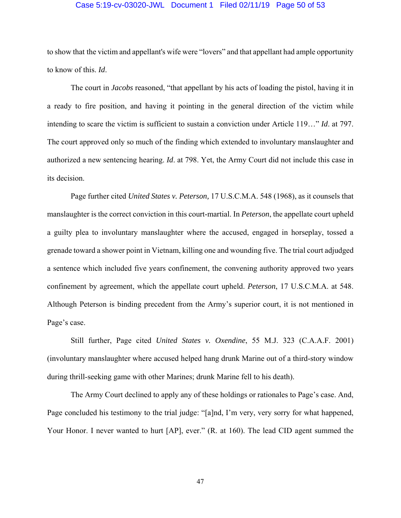#### Case 5:19-cv-03020-JWL Document 1 Filed 02/11/19 Page 50 of 53

to show that the victim and appellant's wife were "lovers" and that appellant had ample opportunity to know of this. *Id*.

 The court in *Jacobs* reasoned, "that appellant by his acts of loading the pistol, having it in a ready to fire position, and having it pointing in the general direction of the victim while intending to scare the victim is sufficient to sustain a conviction under Article 119…" *Id*. at 797. The court approved only so much of the finding which extended to involuntary manslaughter and authorized a new sentencing hearing. *Id*. at 798. Yet, the Army Court did not include this case in its decision.

 Page further cited *United States v. Peterson,* 17 U.S.C.M.A. 548 (1968), as it counsels that manslaughter is the correct conviction in this court-martial. In *Peterson*, the appellate court upheld a guilty plea to involuntary manslaughter where the accused, engaged in horseplay, tossed a grenade toward a shower point in Vietnam, killing one and wounding five. The trial court adjudged a sentence which included five years confinement, the convening authority approved two years confinement by agreement, which the appellate court upheld. *Peterson*, 17 U.S.C.M.A. at 548. Although Peterson is binding precedent from the Army's superior court, it is not mentioned in Page's case.

 Still further, Page cited *United States v. Oxendine*, 55 M.J. 323 (C.A.A.F. 2001) (involuntary manslaughter where accused helped hang drunk Marine out of a third-story window during thrill-seeking game with other Marines; drunk Marine fell to his death).

 The Army Court declined to apply any of these holdings or rationales to Page's case. And, Page concluded his testimony to the trial judge: "[a]nd, I'm very, very sorry for what happened, Your Honor. I never wanted to hurt [AP], ever." (R. at 160). The lead CID agent summed the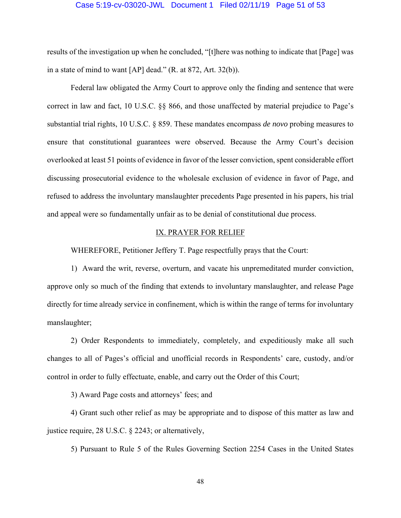#### Case 5:19-cv-03020-JWL Document 1 Filed 02/11/19 Page 51 of 53

results of the investigation up when he concluded, "[t]here was nothing to indicate that [Page] was in a state of mind to want [AP] dead." (R. at 872, Art. 32(b)).

 Federal law obligated the Army Court to approve only the finding and sentence that were correct in law and fact, 10 U.S.C. §§ 866, and those unaffected by material prejudice to Page's substantial trial rights, 10 U.S.C. § 859. These mandates encompass *de novo* probing measures to ensure that constitutional guarantees were observed. Because the Army Court's decision overlooked at least 51 points of evidence in favor of the lesser conviction, spent considerable effort discussing prosecutorial evidence to the wholesale exclusion of evidence in favor of Page, and refused to address the involuntary manslaughter precedents Page presented in his papers, his trial and appeal were so fundamentally unfair as to be denial of constitutional due process.

# IX. PRAYER FOR RELIEF

WHEREFORE, Petitioner Jeffery T. Page respectfully prays that the Court:

 1) Award the writ, reverse, overturn, and vacate his unpremeditated murder conviction, approve only so much of the finding that extends to involuntary manslaughter, and release Page directly for time already service in confinement, which is within the range of terms for involuntary manslaughter;

 2) Order Respondents to immediately, completely, and expeditiously make all such changes to all of Pages's official and unofficial records in Respondents' care, custody, and/or control in order to fully effectuate, enable, and carry out the Order of this Court;

3) Award Page costs and attorneys' fees; and

 4) Grant such other relief as may be appropriate and to dispose of this matter as law and justice require, 28 U.S.C. § 2243; or alternatively,

5) Pursuant to Rule 5 of the Rules Governing Section 2254 Cases in the United States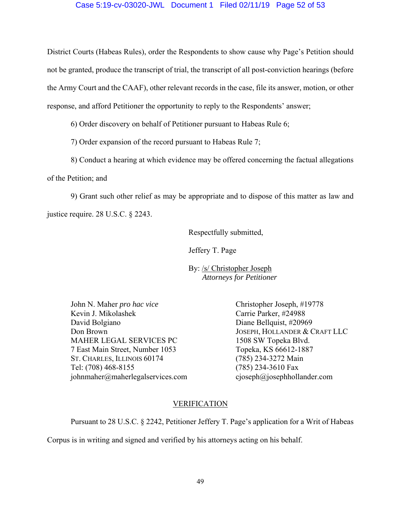# Case 5:19-cv-03020-JWL Document 1 Filed 02/11/19 Page 52 of 53

District Courts (Habeas Rules), order the Respondents to show cause why Page's Petition should not be granted, produce the transcript of trial, the transcript of all post-conviction hearings (before the Army Court and the CAAF), other relevant records in the case, file its answer, motion, or other response, and afford Petitioner the opportunity to reply to the Respondents' answer;

6) Order discovery on behalf of Petitioner pursuant to Habeas Rule 6;

7) Order expansion of the record pursuant to Habeas Rule 7;

8) Conduct a hearing at which evidence may be offered concerning the factual allegations

of the Petition; and

 9) Grant such other relief as may be appropriate and to dispose of this matter as law and justice require. 28 U.S.C. § 2243.

Respectfully submitted,

Jeffery T. Page

 By: /s/ Christopher Joseph *Attorneys for Petitioner* 

John N. Maher *pro hac vice* Christopher Joseph, #19778 Kevin J. Mikolashek Carrie Parker, #24988 David Bolgiano Diane Bellquist, #20969 Don Brown JOSEPH, HOLLANDER & CRAFT LLC MAHER LEGAL SERVICES PC 1508 SW Topeka Blvd. 7 East Main Street, Number 1053 Topeka, KS 66612-1887 ST. CHARLES, ILLINOIS 60174 (785) 234-3272 Main Tel: (708) 468-8155 (785) 234-3610 Fax johnmaher@maherlegalservices.com cjoseph@josephhollander.com

# VERIFICATION

Pursuant to 28 U.S.C. § 2242, Petitioner Jeffery T. Page's application for a Writ of Habeas

Corpus is in writing and signed and verified by his attorneys acting on his behalf.